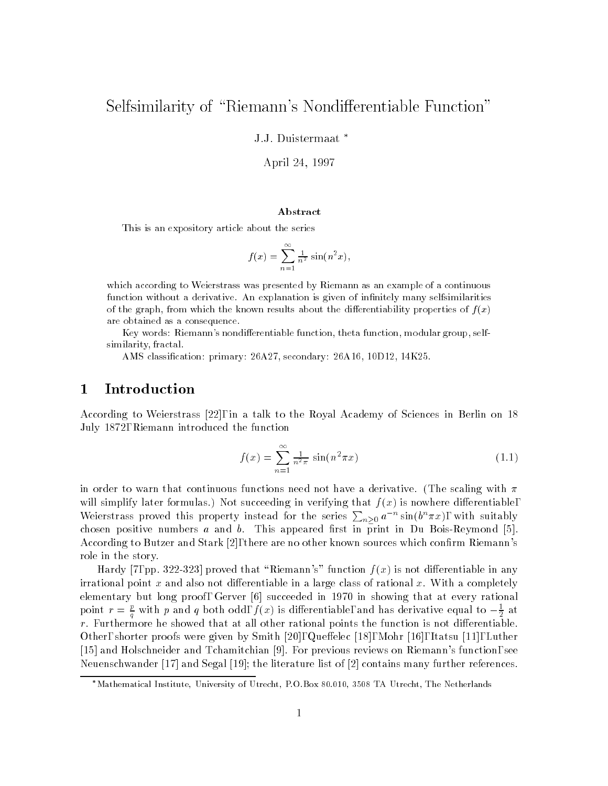## Selfsimilarity of "Riemann's Nondifferentiable Function"

J.J. Duistermaat

April 24, 1997

#### Abstract

This is an expository article about the series

$$
f(x) = \sum_{n=1}^{\infty} \frac{1}{n^2} \sin(n^2 x),
$$

which according to Weierstrass was presented by Riemann as an example of a continuous function without a derivative. An explanation is given of infinitely many selfsimilarities of the graph, from which the known results about the differentiability properties of  $f(x)$ are obtained as a consequence.

Key words: Riemann's nondifferentiable function, theta function, modular group, selfsimilarity, fractal.

AMS classication: primary: 26A27, secondary: 26A16, 10D12, 14K25.

#### 1 Introduction

According to Weierstrass [22], in a talk to the Royal Academy of Sciences in Berlin on 18 July 1872, Riemann introduced the function

$$
f(x) = \sum_{n=1}^{\infty} \frac{1}{n^2 \pi} \sin(n^2 \pi x)
$$
 (1.1)

in order to warn that continuous functions need not have a derivative. (The scaling with  $\pi$ will simplify later formulas.) Not succeeding in verifying that  $f(x)$  is nowhere differentiable, Weierstrass proved this property instead for the series  $\sum_{n\geq 0} a^{-n} \sin(b^n \pi x)$ , with suitably chosen positive numbers a and b. This appeared first in print in Du Bois-Reymond [5]. According to Butzer and Stark [2], there are no other known sources which confirm Riemann's role in the story.

Hardy [7, pp. 322-323] proved that "Riemann's" function  $f (x)$  is not differentiable in any irrational point x and also not differentiable in a large class of rational x. With a completely elementary but long proof, Gerver [6] succeeded in 1970 in showing that at every rational point  $r = \frac{c}{a}$  with p and q both odd,  $f(x)$  is differentiable, and has derivative equal to  $-\frac{1}{2}$  at  $\mathbf{q}$  and  $\mathbf{q}$ r. Furthermore he showed that at all other rational points the function is not dierentiable. Other, shorter proofs were given by Smith [20], Queffelec [18], Mohr [16], Itatsu [11], Luther [15] and Holschneider and Tchamitchian [9]. For previous reviews on Riemann's function, see Neuenschwander [17] and Segal [19]; the literature list of [2] contains many further references.

<sup>\*</sup>Mathematical Institute, University of Utrecht, P.O.Box 80.010, 3508 TA Utrecht, The Netherlands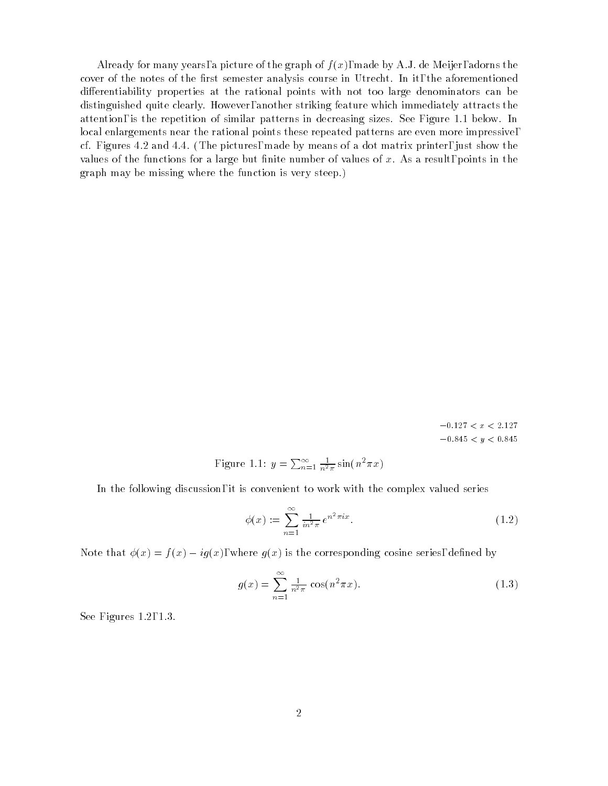Already for many years, a picture of the graph of  $f(x)$ , made by A.J. de Meijer, adorns the cover of the notes of the first semester analysis course in Utrecht. In it, the aforementioned differentiability properties at the rational points with not too large denominators can be distinguished quite clearly. However, another striking feature which immediately attracts the attention, is the repetition of similar patterns in decreasing sizes. See Figure 1.1 below. In local enlargements near the rational points these repeated patterns are even more impressive, cf. Figures 4.2 and 4.4. (The pictures, made by means of a dot matrix printer, just show the values of the functions for a large but finite number of values of  $x$ . As a result, points in the graph may be missing where the function is very steep.)

> $-0.127\,<\,x\,<\,2.127$  $-0.845 < y < 0.845$

Figure 1.1: 
$$
y = \sum_{n=1}^{\infty} \frac{1}{n^2 \pi} \sin(n^2 \pi x)
$$

In the following discussion, it is convenient to work with the complex valued series

$$
\phi(x) := \sum_{n=1}^{\infty} \frac{1}{in^2 \pi} e^{n^2 \pi i x}.
$$
\n(1.2)

Note that  $\phi(x) = f(x) - iq(x)$ , where  $q(x)$  is the corresponding cosine series, defined by

$$
g(x) = \sum_{n=1}^{\infty} \frac{1}{n^2 \pi} \cos(n^2 \pi x).
$$
 (1.3)

See Figures 1.2, 1.3.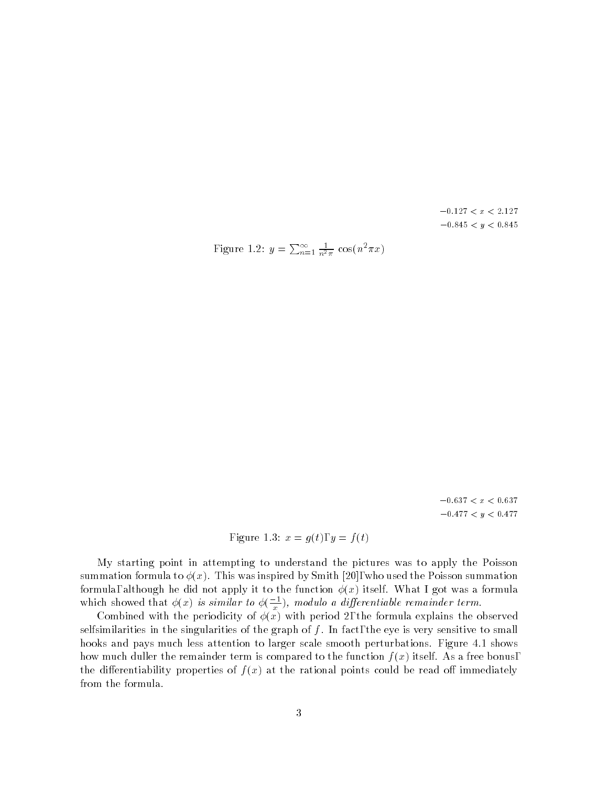$-0.127 < x < 2.127$  $-0.845 < y < 0.845$ 

Figure 1.2: 
$$
y = \sum_{n=1}^{\infty} \frac{1}{n^2 \pi} \cos(n^2 \pi x)
$$

 $-0.637 < x < 0.637$  $-0.477 < y < 0.477$ 

Figure 1.3:  $x = g(t), y = f(t)$ 

My starting point in attempting to understand the pictures was to apply the Poisson summation formula to  $\phi(x)$ . This was inspired by Smith [20], who used the Poisson summation formula, although he did not apply it to the function  $\phi(x)$  itself. What I got was a formula which showed that  $\phi(x)$  is similar to  $\phi(\frac{1}{x})$ , modulo a differentiable remainder term.

Combined with the periodicity of  $\phi(x)$  with period 2, the formula explains the observed selfsimilarities in the singularities of the graph of  $f$ . In fact, the eye is very sensitive to small hooks and pays much less attention to larger scale smooth perturbations. Figure 4.1 shows how much duller the remainder term is compared to the function  $f(x)$  itself. As a free bonus, the differentiability properties of  $f(x)$  at the rational points could be read off immediately from the formula.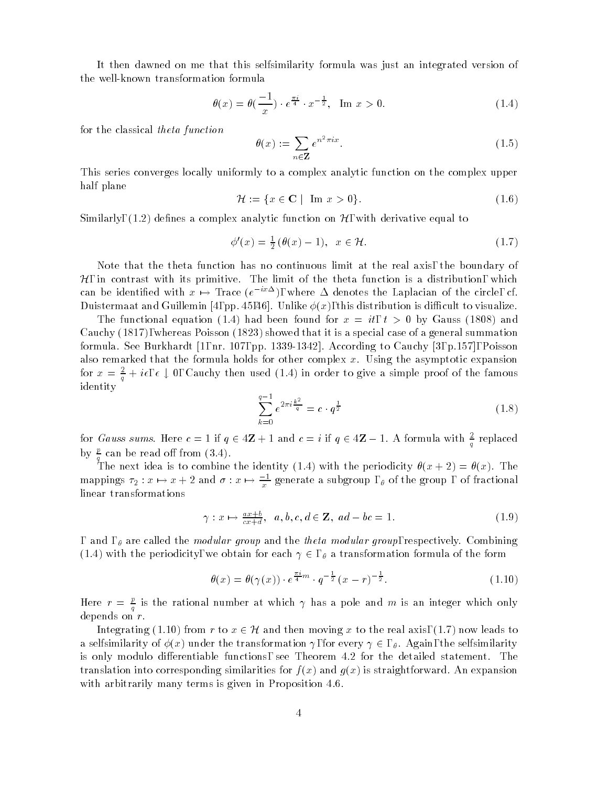It then dawned on me that this selfsimilarity formula was just an integrated version of the well-known transformation formula

$$
\theta(x) = \theta\left(\frac{-1}{x}\right) \cdot e^{\frac{\pi i}{4}} \cdot x^{-\frac{1}{2}}, \quad \text{Im } x > 0.
$$
 (1.4)

for the classical theta function

$$
\theta(x) := \sum_{n \in \mathbf{Z}} e^{n^2 \pi i x}.
$$
\n(1.5)

This series converges locally uniformly to a complex analytic function on the complex upper half plane

$$
\mathcal{H} := \{ x \in \mathbf{C} \mid \text{Im } x > 0 \}. \tag{1.6}
$$

Similarly,  $(1.2)$  defines a complex analytic function on  $\mathcal{H}$ , with derivative equal to

$$
\phi'(x) = \frac{1}{2}(\theta(x) - 1), \quad x \in \mathcal{H}.\tag{1.7}
$$

Note that the theta function has no continuous limit at the real axis, the boundary of  $H$ , in contrast with its primitive. The limit of the theta function is a distribution, which can be identified with  $x\, \mapsto\,$  frace (e  $\,$   $^{\circ}\,$  – ), where  $\Delta$  denotes the Laplacian of the circle, cf.  $\,$ Duistermaat and Guillemin [4, pp. 45,46]. Unlike  $\phi(x)$ , this distribution is difficult to visualize.

The functional equation (1.4) had been found for  $x = it$ ,  $t > 0$  by Gauss (1808) and Cauchy (1817), whereas Poisson (1823) showed that it is a special case of a general summation formula. See Burkhardt [1, nr. 107, pp. 1339-1342]. According to Cauchy [3, p.157], Poisson also remarked that the formula holds for other complex  $x$ . Using the asymptotic expansion for  $x = \frac{2}{a} + i\epsilon, \epsilon \downarrow 0$ , Cauchy then used (1.4) in order to give a simple proof of the famous identity

$$
\sum_{k=0}^{q-1} e^{2\pi i \frac{k^2}{q}} = c \cdot q^{\frac{1}{2}}
$$
\n(1.8)

for Gauss sums. Here  $c = 1$  if  $q \in 4\mathbf{Z} + 1$  and  $c = i$  if  $q \in 4\mathbf{Z} - 1$ . A formula with  $\frac{z}{q}$  replaced by  $\frac{p}{q}$  can be read off from (3.4).

The next idea is to combine the identity (1.4) with the periodicity  $\theta(x + 2) = \theta(x)$ . The mappings  $\tau_2 : x \mapsto x + 2$  and  $\sigma : x \mapsto \frac{1}{x}$  generate a subgroup ,  $_\theta$  of the group , of fractional linear transformations

$$
\gamma: x \mapsto \frac{ax+b}{cx+d}, \ a, b, c, d \in \mathbf{Z}, \ ad - bc = 1.
$$
 (1.9)

, and ,  $\theta$  are called the *modular group* and the *theta modular group*, respectively. Combining (1.4) with the periodicity, we obtain for each  $\gamma \in S$ ,  $\theta$  a transformation formula of the form

$$
\theta(x) = \theta(\gamma(x)) \cdot e^{\frac{\pi i}{4}m} \cdot q^{-\frac{1}{2}}(x-r)^{-\frac{1}{2}}.
$$
\n(1.10)

Here  $r = \frac{L}{q}$  is the rational number at which  $\gamma$  has a pole and m is an integer which only depends on  $r$ .

Integrating (1.10) from r to  $x \in \mathcal{H}$  and then moving x to the real axis, (1.7) now leads to a selfsimilarity of  $\phi(x)$  under the transformation  $\gamma$ , for every  $\gamma \in S$ ,  $\theta$ . Again, the selfsimilarity is only modulo differentiable functions, see Theorem 4.2 for the detailed statement. The translation into corresponding similarities for  $f(x)$  and  $g(x)$  is straightforward. An expansion with arbitrarily many terms is given in Proposition 4.6.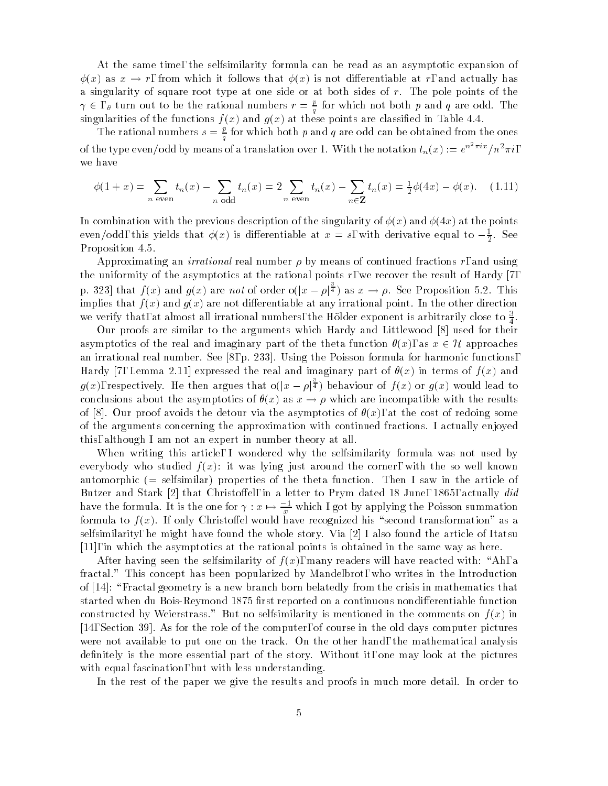At the same time, the selfsimilarity formula can be read as an asymptotic expansion of  $\phi(x)$  as  $x \to r$ , from which it follows that  $\phi(x)$  is not differentiable at r, and actually has a singularity of square root type at one side or at both sides of  $r$ . The pole points of the  $\gamma \in$  ,  $\theta$  turn out to be the rational numbers  $r = \frac{\nu}{q}$  for which not both  $p$  and  $q$  are odd. The singularities of the functions  $f(x)$  and  $g(x)$  at these points are classified in Table 4.4.

The rational numbers  $s = \epsilon$  for which both p and q are odd can be obtained from the ones  $\mathbf{q}$  and  $\mathbf{q}$ of the type even/odd by means of a translation over 1. With the notation  $t_n(x) := e^{n-\pi i x}/n^2\pi i$ , we have

$$
\phi(1+x) = \sum_{n \text{ even}} t_n(x) - \sum_{n \text{ odd}} t_n(x) = 2 \sum_{n \text{ even}} t_n(x) - \sum_{n \in \mathbf{Z}} t_n(x) = \frac{1}{2} \phi(4x) - \phi(x). \tag{1.11}
$$

In combination with the previous description of the singularity of  $\phi(x)$  and  $\phi(4x)$  at the points even/odd, this yields that  $\phi(x)$  is differentiable at  $x = s$ , with derivative equal to  $-\frac{1}{2}$ . See -Proposition 4.5.

Approximating an *irrational* real number  $\rho$  by means of continued fractions r, and using the uniformity of the asymptotics at the rational points  $r$ , we recover the result of Hardy [7, p. 323] that  $f(x)$  and  $g(x)$  are not of order o $(|x - \rho|^{\frac{1}{4}})$  as  $x \to \rho$ . See Proposition 5.2. This implies that  $f(x)$  and  $g(x)$  are not differentiable at any irrational point. In the other direction we verify that, at almost all irrational numbers, the Holder exponent is arbitrarily close to  $\frac{3}{4}$ .  $\overline{\phantom{a}}$ 

Our proofs are similar to the arguments which Hardy and Littlewood [8] used for their asymptotics of the real and imaginary part of the theta function  $\theta(x)$ , as  $x \in \mathcal{H}$  approaches an irrational real number. See [8, p. 233]. Using the Poisson formula for harmonic functions, Hardy [7, Lemma 2.11] expressed the real and imaginary part of  $\theta(x)$  in terms of  $f(x)$  and  $g(x)$ , respectively. He then argues that  $o(|x - \rho|^{\frac{1}{4}})$  behaviour of  $f(x)$  or  $g(x)$  would lead to conclusions about the asymptotics of  $\theta(x)$  as  $x \to \rho$  which are incompatible with the results of [8]. Our proof avoids the detour via the asymptotics of  $\theta(x)$ , at the cost of redoing some of the arguments concerning the approximation with continued fractions. I actually enjoyed this, although I am not an expert in number theory at all.

When writing this article, I wondered why the selfsimilarity formula was not used by everybody who studied  $f(x)$ : it was lying just around the corner, with the so well known automorphic (= selfsimilar) properties of the theta function. Then I saw in the article of Butzer and Stark [2] that Christoffel, in a letter to Prym dated 18 June, 1865, actually did have the formula. It is the one for  $\gamma : x \mapsto \frac{-1}{x}$  which I got by applying the Poisson summation formula to  $f(x)$ . If only Christoffel would have recognized his "second transformation" as a selfsimilarity, he might have found the whole story. Via [2] I also found the article of Itatsu [11], in which the asymptotics at the rational points is obtained in the same way as here.

After having seen the selfsimilarity of  $f(x)$ , many readers will have reacted with: "Ah, a fractal." This concept has been popularized by Mandelbrot, who writes in the Introduction of  $[14]$ : "Fractal geometry is a new branch born belatedly from the crisis in mathematics that started when du Bois-Reymond 1875 first reported on a continuous nondifferentiable function constructed by Weierstrass." But no selfsimilarity is mentioned in the comments on  $f(x)$  in [14, Section 39]. As for the role of the computer, of course in the old days computer pictures were not available to put one on the track. On the other hand, the mathematical analysis definitely is the more essential part of the story. Without it, one may look at the pictures with equal fascination, but with less understanding.

In the rest of the paper we give the results and proofs in much more detail. In order to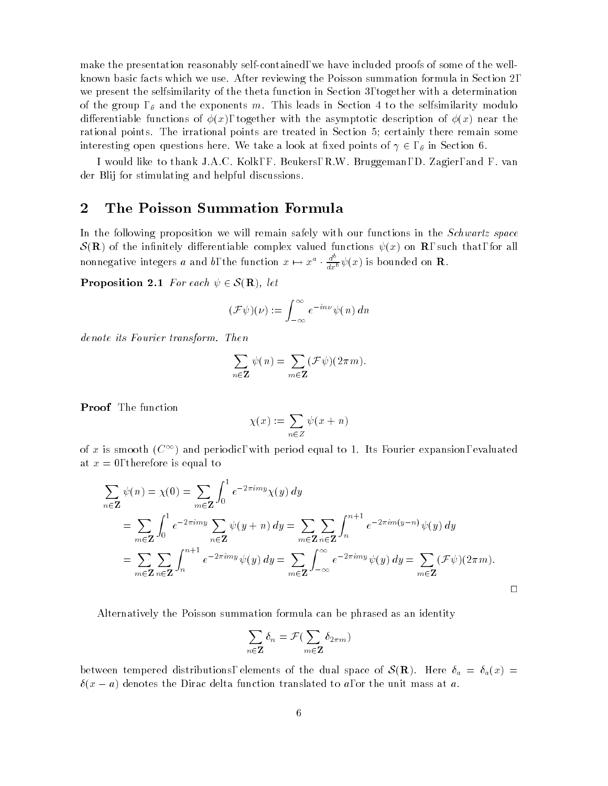make the presentation reasonably self-contained, we have included proofs of some of the wellknown basic facts which we use. After reviewing the Poisson summation formula in Section 2, we present the selfsimilarity of the theta function in Section 3, together with a determination of the group,  $\theta$  and the exponents m. This leads in Section 4 to the selfsimilarity modulo differentiable functions of  $\phi(x)$ , together with the asymptotic description of  $\phi(x)$  near the rational points. The irrational points are treated in Section 5; certainly there remain some interesting open questions here. We take a look at fixed points of  $\gamma \in S$ ,  $\theta$  in Section 6.

I would like to thank J.A.C. Kolk, F. Beukers, R.W. Bruggeman, D. Zagier, and F. van der Blij for stimulating and helpful discussions.

#### 2 The Poisson Summation Formula

In the following proposition we will remain safely with our functions in the Schwartz space  $\mathcal{S}(\mathbf{R})$  of the infinitely differentiable complex valued functions  $\psi(x)$  on **R**, such that, for all nonnegative integers a and b, the function  $x \mapsto x^a \cdot \frac{d^a}{dx^b} \psi(x)$  is bounded on **R**.

**Proposition 2.1** For each  $\psi \in \mathcal{S}(\mathbf{R})$ , let

$$
(\mathcal{F}\psi)(\nu) := \int_{-\infty}^{\infty} e^{-in\nu} \psi(n) \, dn
$$

denote its Fourier transform. Then

$$
\sum_{n\in\mathbf{Z}}\psi(n)=\sum_{m\in\mathbf{Z}}(\mathcal{F}\psi)(2\pi m).
$$

Proof The function

$$
\chi(x) := \sum_{n \in Z} \psi(x+n)
$$

of x is smooth  $(C^{\infty})$  and periodic, with period equal to 1. Its Fourier expansion, evaluated at  $x = 0$ , therefore is equal to

$$
\sum_{n\in\mathbf{Z}} \psi(n) = \chi(0) = \sum_{m\in\mathbf{Z}} \int_0^1 e^{-2\pi imy} \chi(y) dy
$$
  
\n
$$
= \sum_{m\in\mathbf{Z}} \int_0^1 e^{-2\pi imy} \sum_{n\in\mathbf{Z}} \psi(y+n) dy = \sum_{m\in\mathbf{Z}} \sum_{n\in\mathbf{Z}} \int_n^{n+1} e^{-2\pi im(y-n)} \psi(y) dy
$$
  
\n
$$
= \sum_{m\in\mathbf{Z}} \sum_{n\in\mathbf{Z}} \int_n^{n+1} e^{-2\pi imy} \psi(y) dy = \sum_{m\in\mathbf{Z}} \int_{-\infty}^{\infty} e^{-2\pi imy} \psi(y) dy = \sum_{m\in\mathbf{Z}} (\mathcal{F}\psi)(2\pi m).
$$

Alternatively the Poisson summation formula can be phrased as an identity

$$
\sum_{n\in\mathbf{Z}}\delta_n=\mathcal{F}(\sum_{m\in\mathbf{Z}}\delta_{2\pi m})
$$

between tempered distributions, elements of the dual space of  $\mathcal{S}(\mathbf{R})$ . Here  $\delta_a = \delta_a(x)$  $\delta(x - a)$  denotes the Dirac delta function translated to a, or the unit mass at a.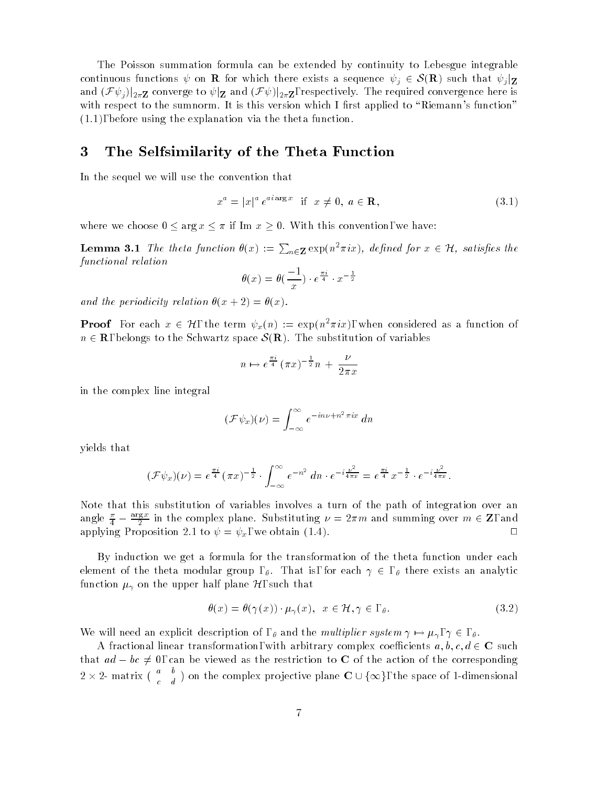The Poisson summation formula can be extended by continuity to Lebesgue integrable continuous functions  $\psi$  on **R** for which there exists a sequence  $\psi_i \in \mathcal{S}(\mathbf{R})$  such that  $\psi_i|_{\mathbf{Z}}$ and  $(\mathcal F\psi_j)|_{2\pi\mathbf Z}$  converge to  $\psi|_{\mathbf Z}$  and  $(\mathcal F\psi)|_{2\pi\mathbf Z}$ , respectively. The required convergence here is with respect to the sumnorm. It is this version which I first applied to "Riemann's function" (1.1), before using the explanation via the theta function.

## 3 The Selfsimilarity of the Theta Function

In the sequel we will use the convention that

$$
x^a = |x|^a e^{ai \arg x} \quad \text{if} \quad x \neq 0, \ a \in \mathbf{R}, \tag{3.1}
$$

where we choose  $0 \le \arg x \le \pi$  if Im  $x \ge 0$ . With this convention, we have:

**Lemma 3.1** The theta function  $\theta(x) := \sum_{n \in \mathbf{Z}} \exp(n^2 \pi i x)$ , defined for  $x \in \mathcal{H}$ , satisfies the functional relation

$$
\theta(x) = \theta\left(\frac{-1}{x}\right) \cdot e^{\frac{\pi i}{4}} \cdot x^{-\frac{1}{2}}
$$

and the periodicity relation  $\theta(x + 2) = \theta(x)$ .

**Proof** For each  $x \in \mathcal{H}$ , the term  $\psi_x(n) := \exp(n^2 \pi i x)$ , when considered as a function of  $n \in \mathbf{R}$ , belongs to the Schwartz space  $\mathcal{S}(\mathbf{R})$ . The substitution of variables

$$
n \mapsto e^{\frac{\pi i}{4}} (\pi x)^{-\frac{1}{2}} n + \frac{\nu}{2\pi x}
$$

in the complex line integral

$$
(\mathcal{F}\psi_x)(\nu) = \int_{-\infty}^{\infty} e^{-in\nu + n^2 \pi ix} dn
$$

yields that

$$
(\mathcal{F}\psi_x)(\nu) = e^{\frac{\pi i}{4}} (\pi x)^{-\frac{1}{2}} \cdot \int_{-\infty}^{\infty} e^{-n^2} dn \cdot e^{-i\frac{\nu^2}{4\pi x}} = e^{\frac{\pi i}{4}} x^{-\frac{1}{2}} \cdot e^{-i\frac{\nu^2}{4\pi x}}.
$$

Note that this substitution of variables involves a turn of the path of integration over an angle  $\frac{\pi}{4} - \frac{m\pi\sigma^2}{2}$  in the complex plane. Substituting  $\nu = 2\pi m$  and summing over  $m \in \mathbf{Z}$ , and  $\overline{\phantom{a}}$  $\overline{\phantom{a}}$ applying Proposition 2.1 to  $\psi = \psi_x$ , we obtain (1.4).  $\Box$ 

By induction we get a formula for the transformation of the theta function under each element of the theta modular group,  $\theta$ . That is, for each  $\gamma \in \theta$ , there exists an analytic function  $\mu_{\gamma}$  on the upper half plane  $\mathcal{H},$  such that

$$
\theta(x) = \theta(\gamma(x)) \cdot \mu_{\gamma}(x), \quad x \in \mathcal{H}, \gamma \in , \theta.
$$
\n(3.2)

We will need an explicit description of,  $\theta$  and the *multiplier system*  $\gamma \mapsto \mu_{\gamma}, \gamma \in \theta$ .

A fractional linear transformation, with arbitrary complex coefficients  $a, b, c, d \in \mathbf{C}$  such that  $ad - bc \neq 0$ , can be viewed as the restriction to C of the action of the corresponding  $2 \times 2$ - matrix ( $\begin{array}{cc} a & b \\ c & d \end{array}$ ) o ) on the complex projective plane  $C \cup \{\infty\}$ , the space of 1-dimensional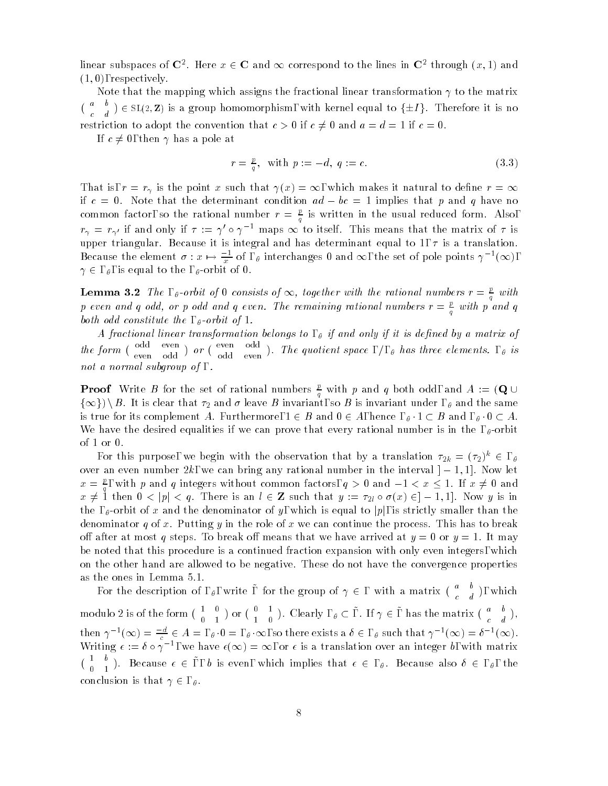linear subspaces of  $\mathbf{C}^2$ . Here  $x \in \mathbf{C}$  and  $\infty$  correspond to the lines in  $\mathbf{C}^2$  through  $(x,1)$  and  $(1,0)$ , respectively.  $\mathbf{1}$ ,  $\mathbf{1}$ , respectively.

Note that the mapping which assigns the fractional linear transformation  $\gamma$  to the matrix  $\sqrt{u}$  by  $\sqrt{u}$  $\mathcal{L} \in SL(2, \mathbf{Z})$  is a group homomorphism, with kernel equal to  $\{\pm I\}$ . Therefore it is no restriction to adopt the convention that  $c > 0$  if  $c \neq 0$  and  $a = d = 1$  if  $c = 0$ .

If  $c \neq 0$ , then  $\gamma$  has a pole at

$$
r = \frac{p}{q}, \quad \text{with } p := -d, \ q := c. \tag{3.3}
$$

That is,  $r = r_{\gamma}$  is the point x such that  $\gamma(x) = \infty$ , which makes it natural to define  $r = \infty$ if  $c = 0$ . Note that the determinant condition  $ad - bc = 1$  implies that p and q have no common factor, so the rational number  $r = \frac{L}{q}$  is written in the usual reduced form. Also,  $r_{\gamma} = r_{\gamma'}$  if and only if  $\tau := \gamma' \circ \gamma^{-1}$  maps  $\infty$  to itself. This means that the matrix of  $\tau$  is upper triangular. Because it is integral and has determinant equal to 1,  $\tau$  is a translation. Because the element  $\sigma : x \mapsto \frac{1}{x}$  of ,  $\theta$  interchanges 0 and  $\infty$ , the set of pole points  $\gamma$   $\rightarrow (\infty)$ ,  $\gamma \in$ ,  $\theta$ , is equal to the ,  $\theta$ -orbit of 0.

**Lemma 3.2** The ,  $_{\theta}$ -orbit of 0 consists of  $\infty$ , together with the rational numbers  $r = \frac{L}{g}$  with p even and q odd, or p odd and q even. The remaining rational numbers  $r = \frac{p}{q}$  with p and q both odd constitute the ,  $_{\theta}$ -orbit of 1.

A fractional linear transformation belongs to,  $\theta$  if and only if it is defined by a matrix of the form  $\begin{pmatrix} 0 & 0 \\ 0 & 1 \end{pmatrix}$ ) or  $\left(\begin{array}{cc} \text{even} & \text{out} \\ \text{on} & \text{on} \end{array}\right)$ . ). The quotient space ,  $/$ ,  $_{\theta}$  has three elements. ,  $_{\theta}$  is not a normal subgroup of , .

**Proof** Write B for the set of rational numbers  $\frac{\nu}{q}$  with p and q both odd, and A := (Q  $\cup$  $\{\infty\})\setminus B$ . It is clear that  $\tau_2$  and  $\sigma$  leave  $B$  invariant, so  $B$  is invariant under ,  $_\theta$  and the same is true for its complement A. Furthermore,  $1 \in B$  and  $0 \in A$ , hence  $, \theta \cdot 1 \subset B$  and  $, \theta \cdot 0 \subset A$ . We have the desired equalities if we can prove that every rational number is in the ,  $\theta$ -orbit of 1 or 0.

For this purpose, we begin with the observation that by a translation  $\tau_{2k} = (\tau_2)^n \in$  ,  $_\theta$ over an even number  $2k$ , we can bring any rational number in the interval  $]-1,1]$ . Now let  $x = \frac{p}{q}$ , with p and q integers without common factors,  $q > 0$  and  $-1 < x \le 1$ . If  $x \ne 0$  and  $x \neq 1$  then  $0 < |p| < q$ . There is an  $l \in \mathbb{Z}$  such that  $y := \tau_{2l} \circ \sigma(x) \in ]-1,1]$ . Now y is in the ,  $\theta$ -orbit of x and the denominator of y, which is equal to  $|p|$ , is strictly smaller than the denominator q of x. Putting y in the role of x we can continue the process. This has to break off after at most q steps. To break off means that we have arrived at  $y = 0$  or  $y = 1$ . It may be noted that this procedure is a continued fraction expansion with only even integers, which on the other hand are allowed to be negative. These do not have the convergence properties as the ones in Lemma 5.1.

For the description of ,  $\theta$ , write, for the group of  $\gamma \in$ , with a matrix  $\begin{pmatrix} a & b \\ c & d \end{pmatrix}$ , which modulo 2 is of the form  $\begin{pmatrix} 1 & 0 \\ 0 & 1 \end{pmatrix}$  or  $\begin{pmatrix} 0 & 1 \\ 1 & 0 \end{pmatrix}$ . Clearly  $, \theta \subset \overline{\phantom{a}}$ , If  $\gamma \in \overline{\phantom{a}}$ , has the matrix  $\begin{pmatrix} a & 0 \\ 0 & 1 \end{pmatrix}$ , e de la construcción de la construcción de la construcción de la construcción de la construcción de la construcción then  $\gamma^{-1}(\infty) = \frac{-a}{c} \in A =$  ,  $\theta \cdot 0 =$  ,  $\theta \cdot \infty$ , so there exists a  $\delta \in$  ,  $\theta$  such that  $\gamma^{-1}(\infty) = \delta^{-1}(\infty)$ . Writing  $\epsilon := \delta \circ \gamma$  , we have  $\epsilon(\infty) = \infty$ , or  $\epsilon$  is a translation over an integer b, with matrix  $\begin{pmatrix} 1 & 0 \\ 0 & 1 \end{pmatrix}$ . Because  $\epsilon \in \mathcal{A}$ , b is even, which implies that  $\epsilon \in \mathcal{A}$ . Because also  $\delta \in \mathcal{A}$ , the conclusion is that  $\gamma \in S$ ,  $\theta$ .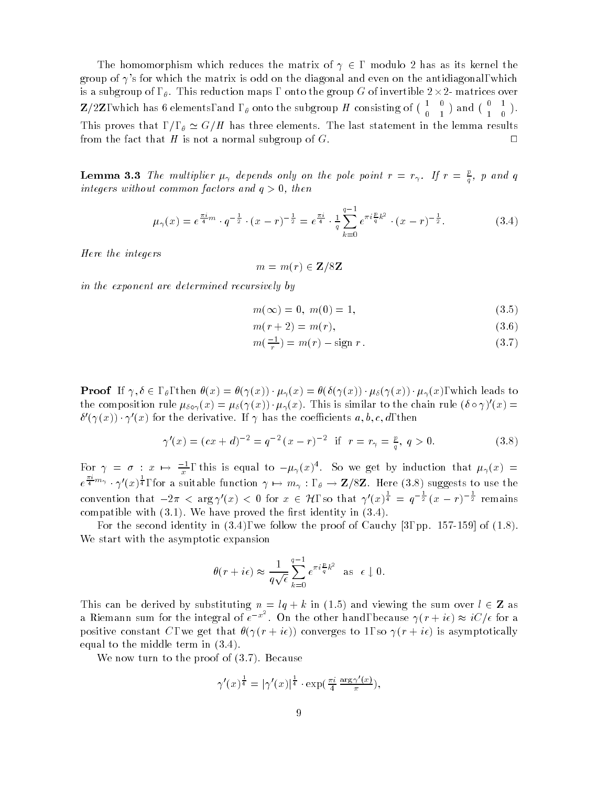The homomorphism which reduces the matrix of  $\gamma \in$ , modulo 2 has as its kernel the group of  $\gamma$ 's for which the matrix is odd on the diagonal and even on the antidiagonal, which is a subgroup of ,  $_\theta$  . This reduction maps , onto the group  $G$  of invertible 2  $\times$  2- matrices over  $\mathbf{Z}/2\mathbf{Z}$ , which has 6 elements, and ,  $\theta$  onto the subgroup H consisting of  $\begin{pmatrix} 1 & 0 \\ 0 & 1 \end{pmatrix}$  and  $\begin{pmatrix} 0 & 1 \\ 1 & 0 \end{pmatrix}$ . This proves that ,  $/$ ,  $\theta \simeq G/H$  has three elements. The last statement in the lemma results from the fact that H is not a normal subgroup of  $G$ .  $\Box$ 

**Lemma 3.3** The multiplier  $\mu_{\gamma}$  depends only on the pole point  $r = r_{\gamma}$ . If  $r = \frac{r}{\gamma}$ , p and q  $\mathbf{q}$  and  $\mathbf{q}$ integers without common factors and  $q > 0$ , then

$$
\mu_{\gamma}(x) = e^{\frac{\pi i}{4}m} \cdot q^{-\frac{1}{2}} \cdot (x-r)^{-\frac{1}{2}} = e^{\frac{\pi i}{4}} \cdot \frac{1}{q} \sum_{k=0}^{q-1} e^{\pi i \frac{p}{q} k^2} \cdot (x-r)^{-\frac{1}{2}}.
$$
 (3.4)

Here the integers

$$
m = m(r) \in \mathbf{Z}/8\mathbf{Z}
$$

in the exponent are determined recursively by

$$
m(\infty) = 0, \ m(0) = 1,\tag{3.5}
$$

$$
m(r+2) = m(r),\tag{3.6}
$$

$$
m\left(\frac{-1}{r}\right) = m(r) - \text{sign } r. \tag{3.7}
$$

**Proof** If  $\gamma, \delta \in I$ , then  $\theta(x) = \theta(\gamma(x)) \cdot \mu_{\gamma}(x) = \theta(\delta(\gamma(x)) \cdot \mu_{\delta}(\gamma(x)) \cdot \mu_{\gamma}(x)$ , which leads to the composition rule  $\mu_{\delta 0 \gamma}(x) = \mu_{\delta}(\gamma(x)) \cdot \mu_{\gamma}(x)$ . This is similar to the chain rule ( $\delta \circ \gamma$ ) (x) =  $\theta$  ( $\gamma(x)$ )  $\gamma$  (x) for the derivative. If  $\gamma$  has the coefficients  $a$ ,  $b$ ,  $c$ ,  $a$ , then

$$
\gamma'(x) = (cx + d)^{-2} = q^{-2} (x - r)^{-2} \text{ if } r = r_{\gamma} = \frac{p}{q}, q > 0.
$$
 (3.8)

For  $\gamma = \sigma : x \mapsto \frac{1}{x}$ , this is equal to  $-\mu_{\gamma}(x)$ . So we get by induction that  $\mu_{\gamma}(x) =$  $e^{\frac{\pi}{4}m_{\gamma}} \cdot \gamma'(x)^{\frac{1}{4}}$ , for a suitable function  $\gamma \mapsto m_{\gamma} : , \theta \to \mathbf{Z}/8\mathbf{Z}$ . Here (3.8) suggests to use the convention that  $-2\pi < \arg \gamma'(x) < 0$  for  $x \in \mathcal{H}$ , so that  $\gamma'(x)^\frac{1}{4} = q^{-\frac{1}{2}}(x-r)^{-\frac{1}{2}}$  remains compatible with  $(3.1)$ . We have proved the first identity in  $(3.4)$ .

For the second identity in  $(3.4)$ , we follow the proof of Cauchy [3, pp. 157-159] of  $(1.8)$ . We start with the asymptotic expansion

$$
\theta(r + i\epsilon) \approx \frac{1}{q\sqrt{\epsilon}} \sum_{k=0}^{q-1} e^{\pi i \frac{p}{q}k^2}
$$
 as  $\epsilon \downarrow 0$ .

This can be derived by substituting  $n = lq + k$  in (1.5) and viewing the sum over  $l \in \mathbf{Z}$  as a Riemann sum for the integral of  $e^{-x^2}$ . On the other hand, because  $\gamma(r+i\epsilon) \approx iC/\epsilon$  for a positive constant C, we get that  $\theta(\gamma(r + i\epsilon))$  converges to 1, so  $\gamma(r + i\epsilon)$  is asymptotically equal to the middle term in (3.4).

We now turn to the proof of (3.7). Because

$$
\gamma'(x)^{\frac{1}{4}} = |\gamma'(x)|^{\frac{1}{4}} \cdot \exp(\frac{\pi i}{4} \frac{\arg \gamma'(x)}{\pi}),
$$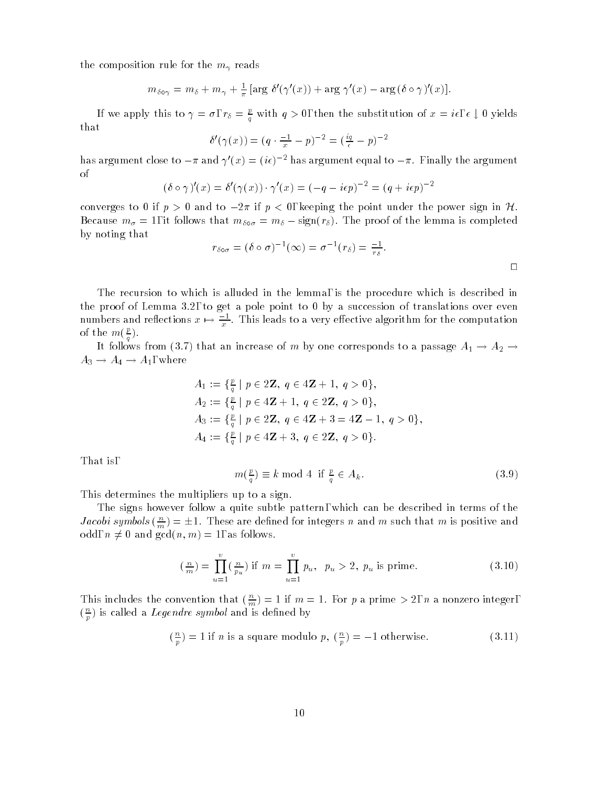the composition rule for the  $m_{\gamma}$  reads

$$
m_{\delta \circ \gamma} = m_{\delta} + m_{\gamma} + \frac{1}{\pi} [\arg \delta'(\gamma'(x)) + \arg \gamma'(x) - \arg (\delta \circ \gamma)'(x)].
$$

If we apply this to  $\gamma = \sigma$ ,  $r_\delta = \frac{p}{q}$  with  $q > 0$ , then the substitution of  $x = i\epsilon, \epsilon \downarrow 0$  yields that

$$
\delta'(\gamma(x)) = (q \cdot \frac{-1}{x} - p)^{-2} = (\frac{iq}{e} - p)^{-2}
$$

has argument close to  $-\pi$  and  $\gamma'(x)=(i\epsilon)^{-2}$  has argument equal to  $-\pi$ . Finally the argument of

$$
(\delta \circ \gamma)'(x) = \delta'(\gamma(x)) \cdot \gamma'(x) = (-q - i\epsilon p)^{-2} = (q + i\epsilon p)^{-2}
$$

converges to 0 if  $p > 0$  and to  $-2\pi$  if  $p < 0$ , keeping the point under the power sign in H. Because  $m_{\sigma} = 1$ , it follows that  $m_{\delta \sigma} = m_{\delta} - \text{sign}(r_{\delta})$ . The proof of the lemma is completed by noting that

$$
r_{\delta \circ \sigma} = (\delta \circ \sigma)^{-1}(\infty) = \sigma^{-1}(r_{\delta}) = \frac{-1}{r_{\delta}}.
$$

The recursion to which is alluded in the lemma, is the procedure which is described in the proof of Lemma 3.2, to get a pole point to 0 by a succession of translations over even numbers and renections  $x \mapsto \frac{1}{x}$ . This leads to a very effective algorithm for the computation of the  $m(\frac{E}{q})$ .

It follows from (3.7) that an increase of  $m$  by one corresponds to a passage  $A_1 \to A_2 \to$  $A_3 \rightarrow A_4 \rightarrow A_1$ , where

$$
A_1 := \{ \frac{p}{q} \mid p \in 2\mathbb{Z}, q \in 4\mathbb{Z} + 1, q > 0 \},
$$
  
\n
$$
A_2 := \{ \frac{p}{q} \mid p \in 4\mathbb{Z} + 1, q \in 2\mathbb{Z}, q > 0 \},
$$
  
\n
$$
A_3 := \{ \frac{p}{q} \mid p \in 2\mathbb{Z}, q \in 4\mathbb{Z} + 3 = 4\mathbb{Z} - 1, q > 0 \},
$$
  
\n
$$
A_4 := \{ \frac{p}{q} \mid p \in 4\mathbb{Z} + 3, q \in 2\mathbb{Z}, q > 0 \}.
$$

That is,

<sup>p</sup>

$$
m(\frac{p}{q}) \equiv k \mod 4 \text{ if } \frac{p}{q} \in A_k. \tag{3.9}
$$

This determines the multipliers up to a sign.

The signs however follow a quite subtle pattern, which can be described in terms of the Jacobi symbols  $(\frac{n}{m}) = \pm 1$ . These are defined for integers n and m such that m is positive and odd,  $n \neq 0$  and  $gcd(n, m) = 1$ , as follows.

$$
\left(\frac{n}{m}\right) = \prod_{u=1}^{v} \left(\frac{n}{p_u}\right) \text{ if } m = \prod_{u=1}^{v} p_u, \ \ p_u > 2, \ p_u \text{ is prime.} \tag{3.10}
$$

This includes the convention that  $(\frac{n}{m}) = 1$  if  $m = 1$ . For p a prime > 2, n a nonzero integer,  $(\frac{1}{n})$  is called a *Legenare symbol* and is defined by

$$
\left(\frac{n}{p}\right) = 1 \text{ if } n \text{ is a square modulo } p, \left(\frac{n}{p}\right) = -1 \text{ otherwise.}
$$
\n(3.11)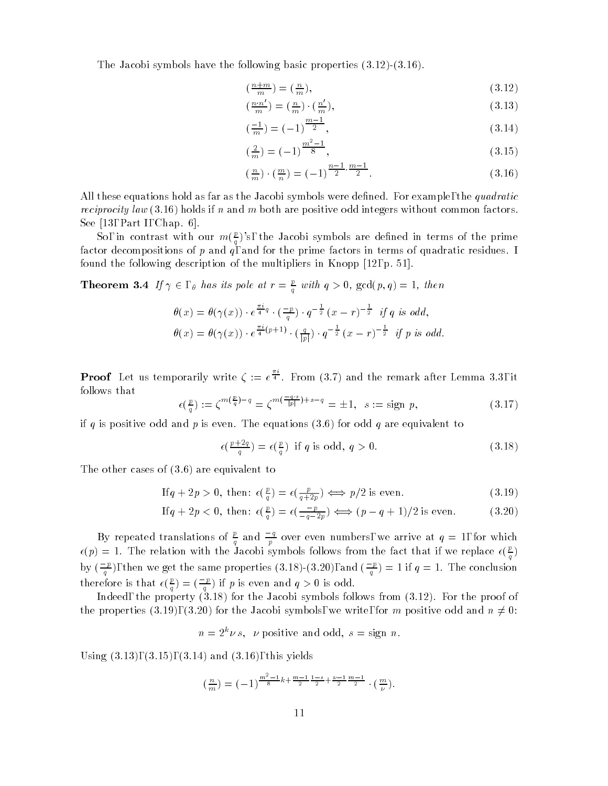The Jacobi symbols have the following basic properties  $(3.12)$   $(3.16)$ .

$$
\left(\frac{n+m}{m}\right) = \left(\frac{n}{m}\right),\tag{3.12}
$$

$$
\left(\frac{n \cdot n'}{m}\right) = \left(\frac{n}{m}\right) \cdot \left(\frac{n'}{m}\right),\tag{3.13}
$$

$$
\left(\frac{-1}{m}\right) = \left(-1\right)^{\frac{m-1}{2}},\tag{3.14}
$$

$$
\left(\frac{2}{m}\right) = \left(-1\right)^{\frac{m^2 - 1}{8}},\tag{3.15}
$$

$$
\left(\frac{n}{m}\right) \cdot \left(\frac{m}{n}\right) = (-1)^{\frac{n-1}{2} \cdot \frac{m-1}{2}}.\tag{3.16}
$$

All these equations hold as far as the Jacobi symbols were defined. For example, the *quadratic reciprocity law* (3.16) holds if n and m both are positive odd integers without common factors. See [13, Part I, Chap. 6].

So, in contrast with our  $m(\frac{p}{q})$ 's, the Jacobi symbols are defined in terms of the prime factor decompositions of  $p$  and  $q$ , and for the prime factors in terms of quadratic residues. I found the following description of the multipliers in Knopp [12, p. 51].

**Theorem 3.4** If  $\gamma \in \mathcal{A}$  has its pole at  $r = \frac{\mu}{\gamma}$  with  $q > 0$ ,  $gcd(p, q) = 1$ , then  $\mathbf{q}$  and  $\mathbf{q}$ 

$$
\theta(x) = \theta(\gamma(x)) \cdot e^{\frac{\pi i}{4}q} \cdot \left(\frac{-p}{q}\right) \cdot q^{-\frac{1}{2}} (x-r)^{-\frac{1}{2}} \text{ if } q \text{ is odd,}
$$
  

$$
\theta(x) = \theta(\gamma(x)) \cdot e^{\frac{\pi i}{4}(p+1)} \cdot \left(\frac{q}{|p|}\right) \cdot q^{-\frac{1}{2}} (x-r)^{-\frac{1}{2}} \text{ if } p \text{ is odd.}
$$

**Proof** Let us temporarily write  $\zeta := e^{\frac{\pi}{4}}$ . From (3.7) and the remark after Lemma 3.3, it follows that

$$
\epsilon(\frac{p}{q}) := \zeta^{m(\frac{p}{q}) - q} = \zeta^{m(\frac{-q \cdot s}{|p|}) + s - q} = \pm 1, \ \ s := \text{sign } p,\tag{3.17}
$$

if q is positive odd and p is even. The equations  $(3.6)$  for odd q are equivalent to

$$
\epsilon\left(\frac{p+2q}{q}\right) = \epsilon\left(\frac{p}{q}\right) \text{ if } q \text{ is odd, } q > 0. \tag{3.18}
$$

The other cases of (3.6) are equivalent to

If 
$$
q + 2p > 0
$$
, then:  $\epsilon(\frac{p}{q}) = \epsilon(\frac{p}{q+2p}) \iff p/2$  is even. (3.19)

If 
$$
q + 2p < 0
$$
, then:  $\epsilon(\frac{p}{q}) = \epsilon(\frac{-p}{-q-2p}) \Longleftrightarrow (p - q + 1)/2$  is even. (3.20)

By repeated translations of  $\frac{p}{q}$  and  $\frac{q}{p}$  over even numbers, we arrive at  $q=1,$  for which  $\epsilon(p)=1.$  The relation with the Jacobi symbols follows from the fact that if we replace  $\epsilon(\frac{p}{q})$ by  $(\frac{p}{q})$ , then we get the same properties (3.18)-(3.20), and  $(\frac{p}{q}) = 1$  if  $q = 1$ . The conclusion therefore is that  $\epsilon(\frac{p}{q})=(\frac{-p}{q})$  if p is even and  $q>0$  is odd.

Indeed, the property (3.18) for the Jacobi symbols follows from (3.12). For the proof of the properties (3.19), (3.20) for the Jacobi symbols, we write, for m positive odd and  $n \neq 0$ :

$$
n = 2^k \nu s
$$
,  $\nu$  positive and odd,  $s = sign n$ .

Using  $(3.13)$ ,  $(3.15)$ ,  $(3.14)$  and  $(3.16)$ , this yields

$$
\left(\frac{n}{m}\right) = \left(-1\right)^{\frac{m^2-1}{8}k + \frac{m-1}{2}\frac{1-s}{2} + \frac{\nu-1}{2}\frac{m-1}{2}} \cdot \left(\frac{m}{\nu}\right).
$$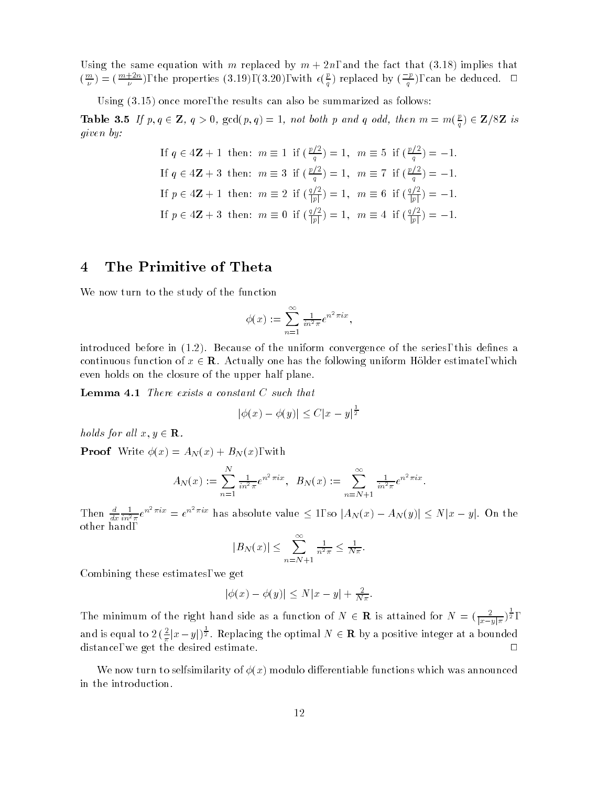Using the same equation with m replaced by  $m + 2n$ , and the fact that (3.18) implies that  $(\frac{m}{\nu})=(\frac{m+2n}{\nu}),$  the properties (3.19), (3.20), with  $\epsilon(\frac{p}{q})$  replaced by  $(\frac{p}{q})$ , can be deduced.  $\Box$ 

Using (3.15) once more, the results can also be summarized as follows:

**Table 3.5** If  $p, q \in \mathbb{Z}$ ,  $q > 0$ ,  $gcd(p, q) = 1$ , not both p and q odd, then  $m = m(\frac{p}{q}) \in \mathbb{Z}/8\mathbb{Z}$  is given by:

If 
$$
q \in 4\mathbf{Z} + 1
$$
 then:  $m \equiv 1$  if  $\left(\frac{p/2}{q}\right) = 1$ ,  $m \equiv 5$  if  $\left(\frac{p/2}{q}\right) = -1$ . If  $q \in 4\mathbf{Z} + 3$  then:  $m \equiv 3$  if  $\left(\frac{p/2}{q}\right) = 1$ ,  $m \equiv 7$  if  $\left(\frac{p/2}{q}\right) = -1$ . If  $p \in 4\mathbf{Z} + 1$  then:  $m \equiv 2$  if  $\left(\frac{q/2}{|p|}\right) = 1$ ,  $m \equiv 6$  if  $\left(\frac{q/2}{|p|}\right) = -1$ . If  $p \in 4\mathbf{Z} + 3$  then:  $m \equiv 0$  if  $\left(\frac{q/2}{|p|}\right) = 1$ ,  $m \equiv 4$  if  $\left(\frac{q/2}{|p|}\right) = -1$ .

## 4 The Primitive of Theta

We now turn to the study of the function

$$
\phi(x) := \sum_{n=1}^{\infty} \frac{1}{in^2 \pi} e^{n^2 \pi i x},
$$

introduced before in  $(1.2)$ . Because of the uniform convergence of the series, this defines a continuous function of  $x \in \mathbf{R}$ . Actually one has the following uniform Hölder estimate, which even holds on the closure of the upper half plane.

**Lemma 4.1** There exists a constant  $C$  such that

$$
|\phi(x) - \phi(y)| \le C|x - y|^{\frac{1}{2}}
$$

holds for all  $x, y \in \mathbf{R}$ .

**Proof** Write  $\phi(x) = A_N(x) + B_N(x)$ , with

$$
A_N(x) := \sum_{n=1}^N \frac{1}{in^2 \pi} e^{n^2 \pi i x}, \quad B_N(x) := \sum_{n=N+1}^\infty \frac{1}{in^2 \pi} e^{n^2 \pi i x}.
$$

 $1$  nen  $\frac{d}{dx}$   $\frac{d}{in^2}$  $\frac{1}{in^2\pi}e^{n^2\pi ix}=e^{n^2\pi ix}$  has absolute value  $\leq 1$ , so  $|A_N(x)-A_N(y)|\leq N|x-y|$ . On the other hand,

$$
|B_N(x)| \leq \sum_{n=N+1}^{\infty} \frac{1}{n^2 \pi} \leq \frac{1}{N \pi}.
$$

Combining these estimates, we get

$$
|\phi(x) - \phi(y)| \le N|x - y| + \frac{2}{N\pi}.
$$

The minimum of the right hand side as a function of  $N \in \mathbf{R}$  is attained for  $N = (\frac{2}{|x-y|\pi})^{\frac{1}{2}}$ , and is equal to  $2(\frac{2}{\pi}|x-y|)^{\frac{1}{2}}$ . Replacing the optimal  $N \in \mathbf{R}$  by a positive integer at a bounded distance, we get the desired estimate. <sup>2</sup>  $\Box$ 

We now turn to selfsimilarity of  $\phi(x)$  modulo differentiable functions which was announced in the introduction.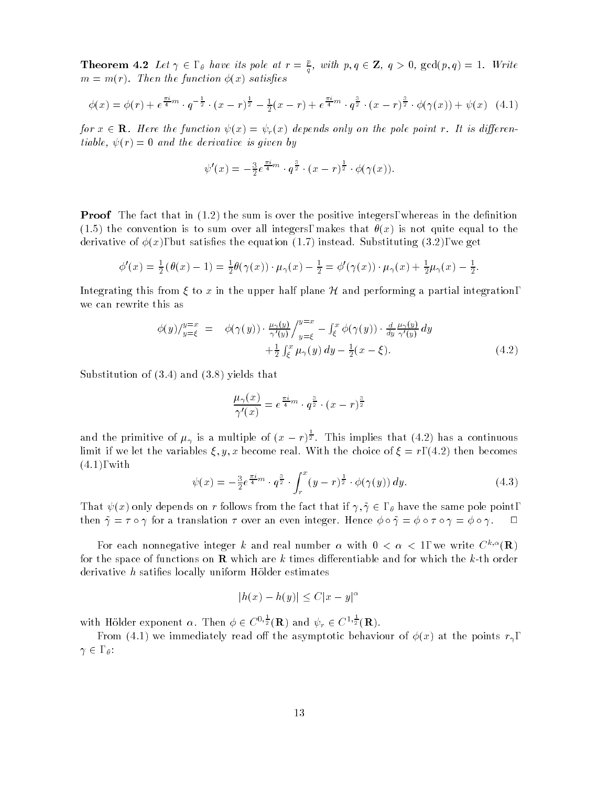**Theorem 4.2** Let  $\gamma \in \emptyset$  have its pole at  $r = \frac{p}{q}$ , with  $p, q \in \mathbb{Z}$ ,  $q > 0$ ,  $gcd(p, q) = 1$ . Write  $m = m(r)$ . Then the function  $\phi(x)$  satisfies

$$
\phi(x) = \phi(r) + e^{\frac{\pi i}{4}m} \cdot q^{-\frac{1}{2}} \cdot (x - r)^{\frac{1}{2}} - \frac{1}{2}(x - r) + e^{\frac{\pi i}{4}m} \cdot q^{\frac{3}{2}} \cdot (x - r)^{\frac{3}{2}} \cdot \phi(\gamma(x)) + \psi(x) \quad (4.1)
$$

for  $x \in \mathbf{R}$ . Here the function  $\psi(x) = \psi_r(x)$  depends only on the pole point r. It is differentiable,  $\psi(r)=0$  and the derivative is given by

$$
\psi'(x) = -\frac{3}{2}e^{\frac{\pi i}{4}m} \cdot q^{\frac{3}{2}} \cdot (x-r)^{\frac{1}{2}} \cdot \phi(\gamma(x)).
$$

**Proof** The fact that in  $(1.2)$  the sum is over the positive integers, whereas in the definition (1.5) the convention is to sum over all integers, makes that  $\theta(x)$  is not quite equal to the derivative of  $\phi(x)$ , but satisfies the equation (1.7) instead. Substituting (3.2), we get

$$
\phi'(x) = \frac{1}{2} (\theta(x) - 1) = \frac{1}{2} \theta(\gamma(x)) \cdot \mu_{\gamma}(x) - \frac{1}{2} = \phi'(\gamma(x)) \cdot \mu_{\gamma}(x) + \frac{1}{2} \mu_{\gamma}(x) - \frac{1}{2}.
$$

Integrating this from  $\xi$  to x in the upper half plane H and performing a partial integration, we can rewrite this as

$$
\phi(y)/_{y=\xi}^{y=x} = \phi(\gamma(y)) \cdot \frac{\mu_\gamma(y)}{\gamma'(y)} /_{y=\xi}^{y=x} - \int_{\xi}^x \phi(\gamma(y)) \cdot \frac{d}{dy} \frac{\mu_\gamma(y)}{\gamma'(y)} dy \n+ \frac{1}{2} \int_{\xi}^x \mu_\gamma(y) dy - \frac{1}{2}(x - \xi).
$$
\n(4.2)

Substitution of (3.4) and (3.8) yields that

$$
\frac{\mu_{\gamma}(x)}{\gamma'(x)} = e^{\frac{\pi i}{4}m} \cdot q^{\frac{3}{2}} \cdot (x - r)^{\frac{3}{2}}
$$

and the primitive of  $\mu_{\gamma}$  is a multiple of  $(x - r)^{\frac{1}{2}}$ . This implies that (4.2) has a continuous limit if we let the variables  $\xi, y, x$  become real. With the choice of  $\xi = r$ , (4.2) then becomes (4.1), with

$$
\psi(x) = -\frac{3}{2}e^{\frac{\pi i}{4}m} \cdot q^{\frac{3}{2}} \cdot \int_{r}^{x} (y-r)^{\frac{1}{2}} \cdot \phi(\gamma(y)) \, dy. \tag{4.3}
$$

That  $\psi(x)$  only depends on r follows from the fact that if  $\gamma, \tilde{\gamma} \in$  ,  $\theta$  have the same pole point, then  $\tilde{\gamma} = \tau \circ \gamma$  for a translation  $\tau$  over an even integer. Hence  $\phi \circ \tilde{\gamma} = \phi \circ \tau \circ \gamma = \phi \circ \gamma$ .

For each nonnegative integer k and real number  $\alpha$  with  $0 < \alpha < 1$ , we write  $C^{k,\alpha}(\mathbf{R})$ for the space of functions on **R** which are k times differentiable and for which the k-th order derivative  $h$  satifies locally uniform Hölder estimates

$$
|h(x) - h(y)| \le C|x - y|^{\alpha}
$$

with Hölder exponent  $\alpha$ . Then  $\phi \in C^{0,\frac{1}{2}}(\mathbf{R})$  and  $\psi_r \in C^{1,\frac{1}{2}}(\mathbf{R})$ .

From (4.1) we immediately read off the asymptotic behaviour of  $\phi(x)$  at the points  $r_{\gamma}$ ,  $\gamma \in , \,\rho$ :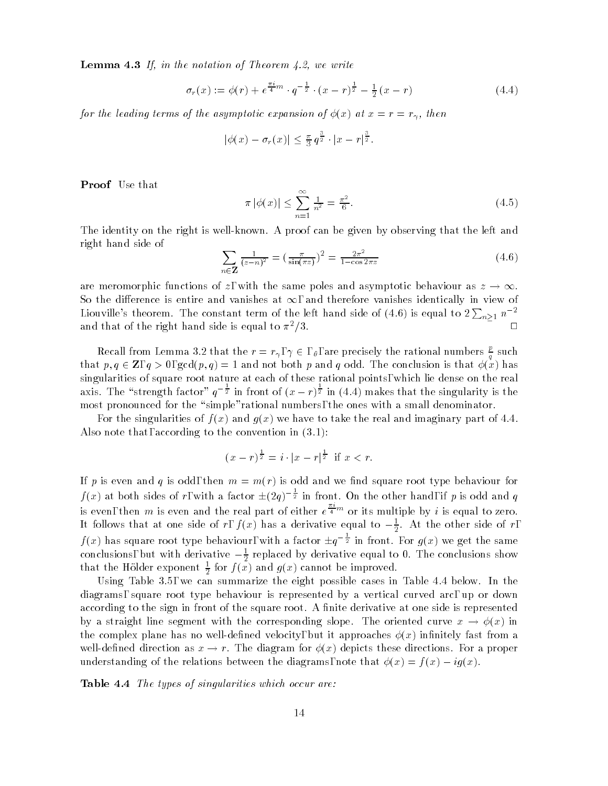**Lemma 4.3** If, in the notation of Theorem 4.2, we write

$$
\sigma_r(x) := \phi(r) + e^{\frac{\pi i}{4}m} \cdot q^{-\frac{1}{2}} \cdot (x - r)^{\frac{1}{2}} - \frac{1}{2}(x - r)
$$
\n(4.4)

for the leading terms of the asymptotic expansion of  $\phi(x)$  at  $x = r = r_{\gamma}$ , then

$$
|\phi(x) - \sigma_r(x)| \leq \frac{\pi}{3} q^{\frac{3}{2}} \cdot |x - r|^{\frac{3}{2}}.
$$

Proof Use that

$$
\pi |\phi(x)| \le \sum_{n=1}^{\infty} \frac{1}{n^2} = \frac{\pi^2}{6}.
$$
\n(4.5)

The identity on the right is well-known. A proof can be given by observing that the left and right hand side of

$$
\sum_{n \in \mathbf{Z}} \frac{1}{(z-n)^2} = \left(\frac{\pi}{\sin(\pi z)}\right)^2 = \frac{2\pi^2}{1 - \cos 2\pi z} \tag{4.6}
$$

are meromorphic functions of z, with the same poles and asymptotic behaviour as  $z \to \infty$ . So the difference is entire and vanishes at  $\infty$ , and therefore vanishes identically in view of Liouville's theorem. The constant term of the left hand side of (4.6) is equal to  $2\sum_{n\geq 1} n^{-2}$ and that of the right hand side is equal to  $\pi^2/3$ .

Recall from Lemma 3.2 that the  $r = r_{\gamma}$ ,  $\gamma \in$  ,  $\theta$ , are precisely the rational numbers  $\frac{p}{q}$  such  $\mathbf{q}$  and  $\mathbf{q}$ that  $p, q \in \mathbb{Z}$ ,  $q > 0$ ,  $gcd(p, q) = 1$  and not both p and q odd. The conclusion is that  $\phi(x)$  has singularities of square root nature at each of these rational points, which lie dense on the real axis. The "strength factor"  $q^{-\frac{1}{2}}$  in front of  $(x - r)^{\frac{1}{2}}$  in (4.4) makes that the singularity is the most pronounced for the "simple"rational numbers, the ones with a small denominator.

For the singularities of  $f(x)$  and  $g(x)$  we have to take the real and imaginary part of 4.4. Also note that, according to the convention in (3.1):

$$
(x - r)^{\frac{1}{2}} = i \cdot |x - r|^{\frac{1}{2}} \text{ if } x < r.
$$

If p is even and q is odd, then  $m = m(r)$  is odd and we find square root type behaviour for  $f(x)$  at both sides of r, with a factor  $\pm(2q)^{-\frac{1}{2}}$  in front. On the other hand, if p is odd and q is even, then m is even and the real part of either  $e^{\frac{\pi}{4}m}$  or its multiple by i is equal to zero. It follows that at one side of r,  $f(x)$  has a derivative equal to  $-\frac{1}{2}$ . At the other side of r,  $f(x)$  has square root type behaviour, with a factor  $\pm q^{-\frac{1}{2}}$  in front. For  $q(x)$  we get the same conclusions, but with derivative  $-\frac{1}{2}$  replaced by derivative equal to 0. The conclusions show that the Holder exponent  $\frac{1}{6}$  for  $f(x)$  and  $g(x)$  cannot be improved.

Using Table 3.5, we can summarize the eight possible cases in Table 4.4 below. In the diagrams, square root type behaviour is represented by a vertical curved arc, up or down according to the sign in front of the square root. A finite derivative at one side is represented by a straight line segment with the corresponding slope. The oriented curve  $x \to \phi(x)$  in the complex plane has no well-defined velocity, but it approaches  $\phi(x)$  infinitely fast from a well-defined direction as  $x \to r$ . The diagram for  $\phi(x)$  depicts these directions. For a proper understanding of the relations between the diagrams, note that  $\phi(x) = f(x) - ig(x)$ .

Table 4.4 The types of singularities which occur are: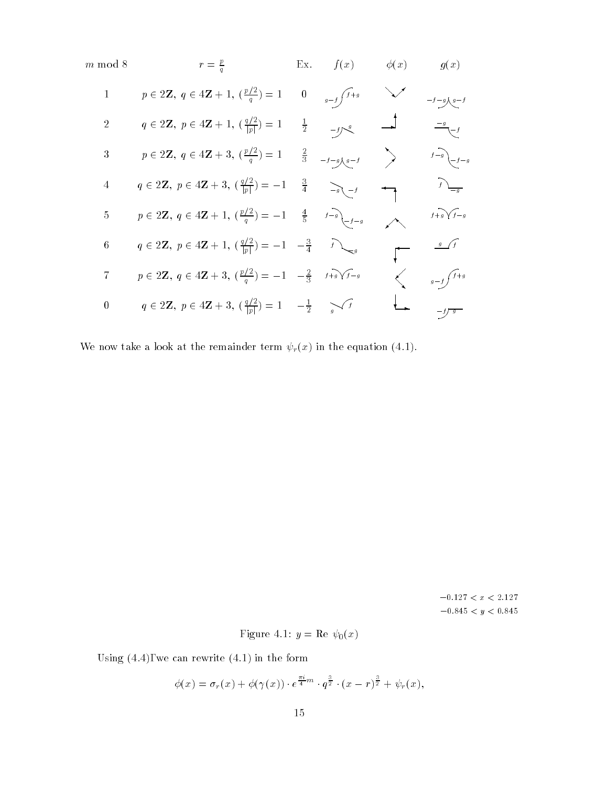| $m \bmod 8$      | $r = \frac{p}{q}$                                                                                               |                  | Ex. $f(x)$                | $-\phi(x)$    | g(x)                    |  |
|------------------|-----------------------------------------------------------------------------------------------------------------|------------------|---------------------------|---------------|-------------------------|--|
| $\mathbf{1}$     | $p \in 2\mathbf{Z}, q \in 4\mathbf{Z}+1, \left(\frac{p/2}{q}\right)=1$                                          | $\boldsymbol{0}$ | $g-f \int f+g$            |               | $-f-g \nmid g-f$        |  |
| $\overline{2}$   | $q \in 2\mathbf{Z}, p \in 4\mathbf{Z}+1, \left(\frac{q/2}{ p }\right)=1$                                        | $\frac{1}{2}$    | $-f$ $\int_{-\infty}^{g}$ | $\rightarrow$ | $\frac{g}{\sqrt{-f}}$   |  |
| $\sqrt{3}$       | $p \in 2\mathbf{Z}, q \in 4\mathbf{Z}+3, \left(\frac{p/2}{q}\right)=1$ $\frac{2}{3}$ $\frac{1}{-1-9\sqrt{q-1}}$ |                  |                           | $\rightarrow$ | $f-g$ $\bigg\} - f - g$ |  |
| $\sqrt{4}$       | $q \in 2\mathbf{Z}, p \in 4\mathbf{Z}+3, \left(\frac{q/2}{ p }\right) = -1$                                     | $\frac{3}{4}$    | $-g$ $-f$                 |               |                         |  |
| $\mathbf 5$      | $p \in 2\mathbf{Z}, q \in 4\mathbf{Z}+1, \left(\frac{p/2}{q}\right) = -1 \quad \frac{4}{5} \quad s^{-1}$        |                  |                           |               | $f+g\sqrt{f-g}$         |  |
| $\,6\,$          | $q \in 2\mathbf{Z}, p \in 4\mathbf{Z} + 1, \left(\frac{q/2}{ p }\right) = -1 - \frac{3}{4}$                     |                  |                           |               | $\frac{g}{f}$           |  |
| $\overline{7}$   | $p \in 2\mathbb{Z}, q \in 4\mathbb{Z}+3, (\frac{p/2}{q})=-1 \quad -\frac{2}{3} \quad f+g\sqrt{f-g}$             |                  |                           |               | $g-f\int f+g$           |  |
| $\boldsymbol{0}$ | $q \in 2\mathbb{Z}, p \in 4\mathbb{Z}+3, (\frac{q/2}{ p })=1 \quad -\frac{1}{2} \quad \sqrt{f}$                 |                  |                           |               |                         |  |

We now take a look at the remainder term  $\psi_r(x)$  in the equation (4.1).

 $-0.127 < x < 2.127$  $-0.845 < y < 0.845$ 

Figure 4.1: 
$$
y = \text{Re } \psi_0(x)
$$

Using (4.4), we can rewrite (4.1) in the form

$$
\phi(x)=\sigma_r(x)+\phi(\gamma(x))\cdot e^{\frac{\pi i}{4}m}\cdot q^{\frac{3}{2}}\cdot (x-r)^{\frac{3}{2}}+\psi_r(x),
$$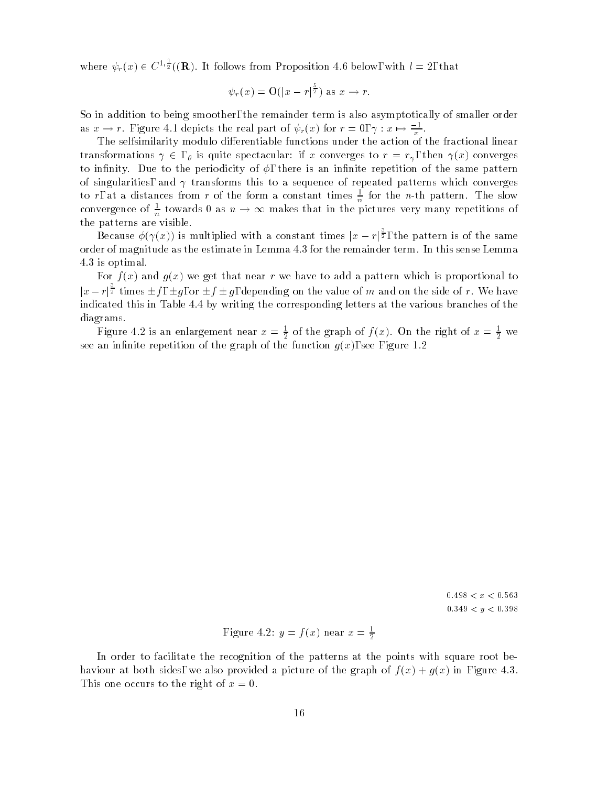where  $\psi_r(x) \in C^{1,\frac{1}{2}}((\mathbf{R})$ . It follows from Proposition 4.6 below, with  $l = 2$ , that

$$
\psi_r(x) = \mathcal{O}(|x-r|^{\frac{5}{2}})
$$
 as  $x \to r$ .

So in addition to being smoother, the remainder term is also asymptotically of smaller order as  $x \to r$ . Figure 4.1 depicts the real part of  $\psi_r(x)$  for  $r = 0, \gamma : x \mapsto \frac{-1}{x}$ .

The selfsimilarity modulo differentiable functions under the action of the fractional linear transformations  $\gamma \in \ell$ , is quite spectacular: if x converges to  $r = r_{\gamma}$ , then  $\gamma(x)$  converges to infinity. Due to the periodicity of  $\phi$ , there is an infinite repetition of the same pattern of singularities, and  $\gamma$  transforms this to a sequence of repeated patterns which converges to r, at a distances from r of the form a constant times  $\frac{1}{n}$  for the n-th pattern. The slow convergence of  $\frac{1}{n}$  towards 0 as  $n \to \infty$  makes that in the pictures very many repetitions of the patterns are visible.

Because  $\phi(\gamma(x))$  is multiplied with a constant times  $|x - r|^{\frac{3}{2}}$ , the pattern is of the same order of magnitude as the estimate in Lemma 4.3 for the remainder term. In this sense Lemma 4.3 is optimal.

For  $f(x)$  and  $g(x)$  we get that near r we have to add a pattern which is proportional to  $|x - r|$ <sup>2</sup> times  $\pm f$ ,  $\pm g$ , or  $\pm f \pm g$ , depending on the value of m and on the side of r. We have indicated this in Table 4.4 by writing the corresponding letters at the various branches of the diagrams.

Figure 4.2 is an enlargement near  $x = \frac{1}{2}$  of the graph of  $f(x)$ . On the right of  $x = \frac{1}{2}$  we  $\overline{\phantom{a}}$ see an innite repetition of the graph of the function graph of the function graph of the function graph of the function graph of the function graph of the function graph of the function graph of the function graph of the

> $0.498 < x < 0.563$  $0.349 < y < 0.398$

Figure 4.2: 
$$
y = f(x)
$$
 near  $x = \frac{1}{2}$ 

In order to facilitate the recognition of the patterns at the points with square root behaviour at both sides, we also provided a picture of the graph of  $f(x) + g(x)$  in Figure 4.3. This one occurs to the right of  $x = 0$ .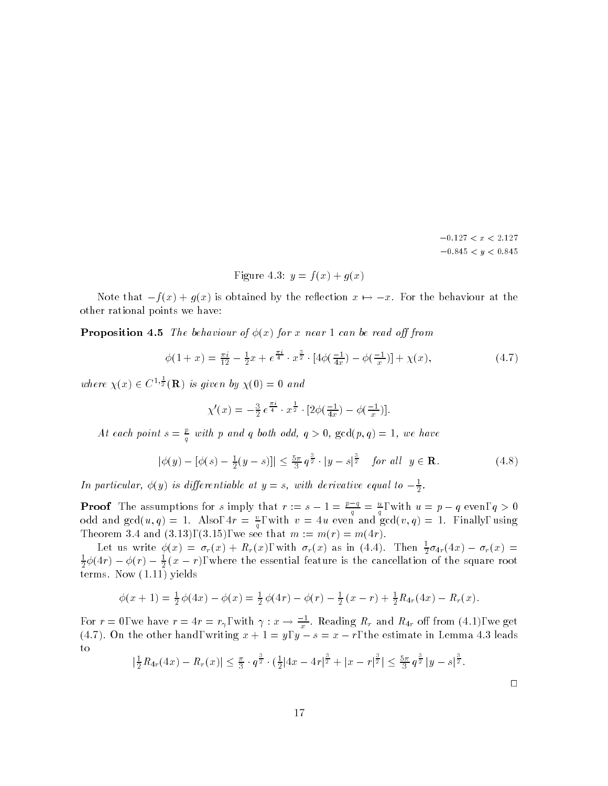$-0.127 < x < 2.127$  $-0.845 < y < 0.845$ 

Figure 4.3: 
$$
y = f(x) + g(x)
$$

Note that  $-f(x) + g(x)$  is obtained by the reflection  $x \mapsto -x$ . For the behaviour at the other rational points we have:

**Proposition 4.5** The behaviour of  $\phi(x)$  for x near 1 can be read off from

$$
\phi(1+x) = \frac{\pi i}{12} - \frac{1}{2}x + e^{\frac{\pi i}{4}} \cdot x^{\frac{3}{2}} \cdot [4\phi(\frac{-1}{4x}) - \phi(\frac{-1}{x})] + \chi(x),\tag{4.7}
$$

where  $\chi(x) \in C^{1,\frac{1}{2}}(\mathbf{R})$  is given by  $\chi(0) = 0$  and

$$
\chi'(x) = -\frac{3}{2} e^{\frac{\pi i}{4}} \cdot x^{\frac{1}{2}} \cdot [2\phi(\frac{-1}{4x}) - \phi(\frac{-1}{x})].
$$

At each point  $s = \frac{c}{q}$  with p and q both odd,  $q > 0$ ,  $gcd(p, q) = 1$ , we have

$$
|\phi(y) - [\phi(s) - \frac{1}{2}(y - s)]| \le \frac{5\pi}{3} q^{\frac{3}{2}} \cdot |y - s|^{\frac{3}{2}} \quad \text{for all} \ \ y \in \mathbf{R}.\tag{4.8}
$$

-

In particular,  $\phi(y)$  is differentiable at  $y = s$ , with derivative equal to  $-\frac{1}{2}$ .

**Proof** The assumptions for s imply that  $r := s - 1 = \frac{p-q}{q} = \frac{q}{q}$ , with  $u = p - q$  even,  $q > 0$ odd and  $\gcd(u, q) = 1$ . Also,  $4r = \frac{1}{q}$ , with  $v = 4u$  even and  $\gcd(v, q) = 1$ . Finally, using Theorem 3.4 and (3.13), (3.15), we see that m := m(r) = m(4r).

Let us write  $\phi(x) = \sigma_r(x) + K_r(x)$ , with  $\sigma_r(x)$  as in (4.4). Then  $\frac{1}{2}\sigma_{4r}(4x) - \sigma_r(x) =$  $\frac{1}{2}\phi(4r)-\phi(r)-\frac{1}{2}(x-r),$  where the essential feature is the cancellation of the square root terms. Now (1.11) yields

$$
\phi(x+1) = \frac{1}{2}\phi(4x) - \phi(x) = \frac{1}{2}\phi(4r) - \phi(r) - \frac{1}{2}(x-r) + \frac{1}{2}R_{4r}(4x) - R_r(x).
$$

For  $r = 0$ , we have  $r = 4r = r<sub>\gamma</sub>$ , with  $\gamma: x \to \frac{1}{x}$ . Reading  $R<sub>r</sub>$  and  $R<sub>4r</sub>$  off from (4.1), we get (4.1). On the other hand, writing  $x + 1 = y$ ,  $y = s = x - 7$ , the estimate in Lemma 4.3 leads to

$$
\left|\frac{1}{2}R_{4r}(4x)-R_{r}(x)\right|\leq \frac{\pi}{3}\cdot q^{\frac{3}{2}}\cdot \left(\frac{1}{2}|4x-4r|^{\frac{3}{2}}+|x-r|^{\frac{3}{2}}\right|\leq \frac{5\pi}{3}q^{\frac{3}{2}}|y-s|^{\frac{3}{2}}.
$$

 $\Box$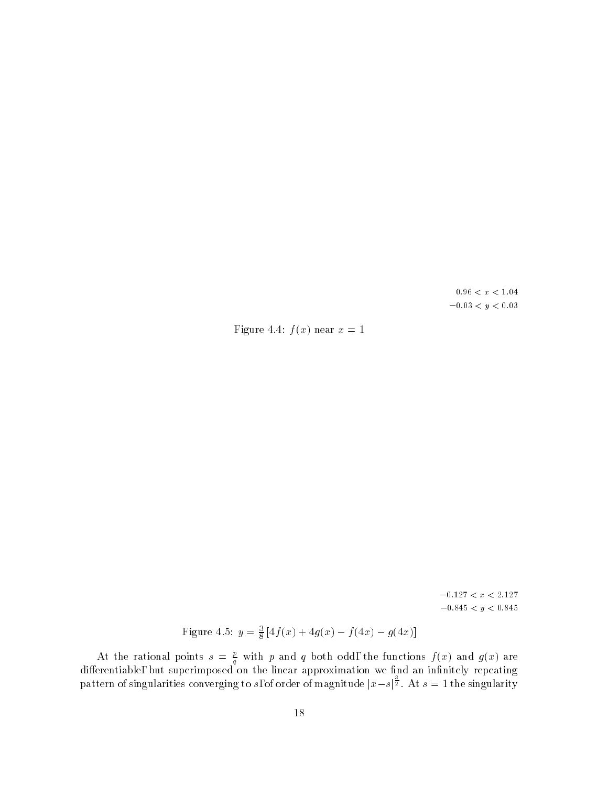$0.96 \, < \, x \, < \, 1.04$  $-0.03 < y < 0.03$ 

Figure 4.4:  $f(x)$  near  $x = 1$ 

 $-0.127\,<\,x\,<\,2.127$  $-0.845 < y < 0.845$ 

Figure 4.5: 
$$
y = \frac{3}{8} [4f(x) + 4g(x) - f(4x) - g(4x)]
$$

At the rational points  $s = \frac{L}{q}$  with p and q both odd, the functions  $f(x)$  and  $g(x)$  are dierentiable, but superimposed on the linear approximation we have approximation we have  $\mathcal{A}$  . In the linear approximation we have approximation we have approximation we have approximation we have a set of the linear pattern of singularities converging to s, of order of magnitude  $|x-s|^{\frac{1}{2}}$ . At  $s=1$  the singularity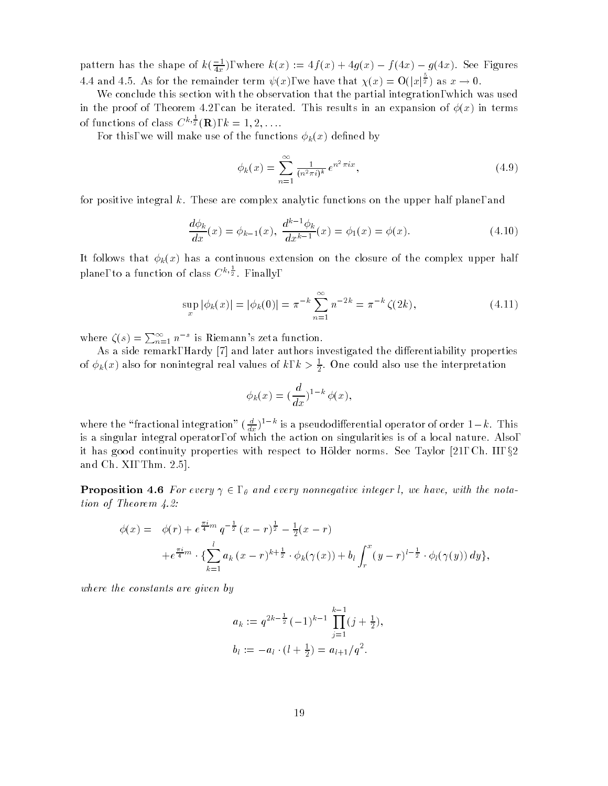pattern has the shape of  $k(\frac{1}{4x})$ , where  $k(x) := 4f(x) + 4g(x) - f(4x) - g(4x)$ . See Figures 4.4 and 4.5. As for the remainder term  $\psi(x)$ , we have that  $\chi(x) = O(|x|^{\frac{3}{2}})$  as  $x \to 0$ .

We conclude this section with the observation that the partial integration, which was used in the proof of Theorem 4.2, can be iterated. This results in an expansion of  $\phi(x)$  in terms of functions of class  $C^{\kappa,\frac{1}{2}}(\mathbf{R}), k = 1, 2, \ldots$ .

For this, we will make use of the functions  $\phi_k(x)$  defined by

$$
\phi_k(x) = \sum_{n=1}^{\infty} \frac{1}{(n^2 \pi i)^k} e^{n^2 \pi i x},
$$
\n(4.9)

for positive integral k. These are complex analytic functions on the upper half plane, and

$$
\frac{d\phi_k}{dx}(x) = \phi_{k-1}(x), \quad \frac{d^{k-1}\phi_k}{dx^{k-1}}(x) = \phi_1(x) = \phi(x). \tag{4.10}
$$

It follows that  $\phi_k(x)$  has a continuous extension on the closure of the complex upper half plane, to a function of class  $C^{\kappa,\frac{1}{2}}$ . Finally,

$$
\sup_{x} |\phi_k(x)| = |\phi_k(0)| = \pi^{-k} \sum_{n=1}^{\infty} n^{-2k} = \pi^{-k} \zeta(2k), \tag{4.11}
$$

where  $\zeta(s) = \sum_{n=1}^{\infty} n^{-s}$  is Riemann's zeta function.

As a side remark, Hardy [7] and later authors investigated the differentiability properties of  $\phi_k(x)$  also for nonintegral real values of  $\kappa$ ,  $\kappa > \frac{1}{2}$ . One could also use the interpretation

-

$$
\phi_k(x) = \left(\frac{d}{dx}\right)^{1-k} \phi(x),
$$

where the "fractional integration"  $(\frac{d}{dx})^*$  " is a pseudodifferential operator of order 1 –  $\kappa$ . This is a singular integral operator, of which the action on singularities is of a local nature. Also, it has good continuity properties with respect to Hölder norms. See Taylor  $[21, C<sub>1</sub>, 11, 82]$ and Ch. XI, Thm. 2.5].

**Proposition 4.6** For every  $\gamma \in \mathcal{A}$  and every nonnegative integer *l*, we have, with the notation of Theorem 4.2:

$$
\phi(x) = \phi(r) + e^{\frac{\pi i}{4}m} q^{-\frac{1}{2}} (x - r)^{\frac{1}{2}} - \frac{1}{2} (x - r)
$$
  
+  $e^{\frac{\pi i}{4}m} \cdot {\sum_{k=1}^{l} a_k (x - r)^{k + \frac{1}{2}} \cdot \phi_k(\gamma(x))} + b_l \int_r^x (y - r)^{l - \frac{1}{2}} \cdot \phi_l(\gamma(y)) dy,$ 

where the constants are given by

$$
a_k := q^{2k - \frac{1}{2}} (-1)^{k-1} \prod_{j=1}^{k-1} (j + \frac{1}{2}),
$$
  

$$
b_l := -a_l \cdot (l + \frac{1}{2}) = a_{l+1}/q^2.
$$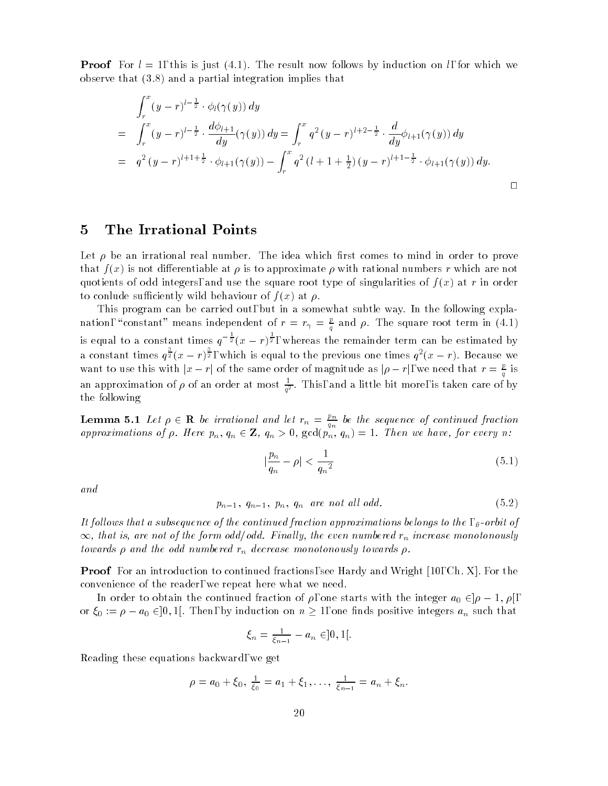**Proof** For  $l = 1$ , this is just (4.1). The result now follows by induction on l, for which we observe that (3.8) and a partial integration implies that

$$
\int_{r}^{x} (y-r)^{l-\frac{1}{2}} \cdot \phi_{l}(\gamma(y)) dy
$$
\n
$$
= \int_{r}^{x} (y-r)^{l-\frac{1}{2}} \cdot \frac{d\phi_{l+1}}{dy}(\gamma(y)) dy = \int_{r}^{x} q^{2} (y-r)^{l+2-\frac{1}{2}} \cdot \frac{d}{dy}\phi_{l+1}(\gamma(y)) dy
$$
\n
$$
= q^{2} (y-r)^{l+1+\frac{1}{2}} \cdot \phi_{l+1}(\gamma(y)) - \int_{r}^{x} q^{2} (l+1+\frac{1}{2})(y-r)^{l+1-\frac{1}{2}} \cdot \phi_{l+1}(\gamma(y)) dy.
$$

#### $\overline{5}$ 5 The Irrational Points

Let  $\rho$  be an irrational real number. The idea which first comes to mind in order to prove that  $f(x)$  is not differentiable at  $\rho$  is to approximate  $\rho$  with rational numbers r which are not quotients of odd integers, and use the square root type of singularities of  $f(x)$  at r in order to conlude sufficiently wild behaviour of  $f(x)$  at  $\rho$ .

This program can be carried out, but in a somewhat subtle way. In the following explanation, "constant" means independent of  $r = r_\gamma = \frac{e}{q}$  and  $\rho$ . The square root term in (4.1) is equal to a constant times  $q^{-\frac{1}{2}}(x-r)^{\frac{1}{2}}$ , whereas the remainder term can be estimated by a constant times  $q^{\frac{1}{2}}(x-r)^{\frac{1}{2}}$ , which is equal to the previous one times  $q^2(x-r)$ . Because we want to use this with  $|x - r|$  of the same order of magnitude as  $|\rho - r|$ , we need that  $r = \frac{p}{q}$  is an approximation of  $\rho$  of an order at most  $\frac{1}{\sigma^2}$ . I his, and a little bit more, is taken care of by the following

**Lemma 5.1** Let  $\rho \in \mathbf{R}$  be irrational and let  $r_n = \frac{p_n}{q_n}$  be the sequence of continued fraction<br>approximations of  $\rho$ . Here  $p_n$ ,  $q_n \in \mathbf{Z}$ ,  $q_n > 0$ ,  $\gcd(p_n, q_n) = 1$ . Then we have, for every n:

$$
|\frac{p_n}{q_n} - \rho| < \frac{1}{q_n^2} \tag{5.1}
$$

and

$$
p_{n-1}, q_{n-1}, p_n, q_n \text{ are not all odd.} \tag{5.2}
$$

It follows that a subsequence of the continued fraction approximations belongs to the  $, \theta$ -orbit of  $\infty$ , that is, are not of the form odd/odd. Finally, the even numbered  $r_n$  increase monotonously towards  $\rho$  and the odd numbered  $r_n$  decrease monotonously towards  $\rho$ .

**Proof** For an introduction to continued fractions, see Hardy and Wright [10, Ch. X]. For the convenience of the reader, we repeat here what we need.

In order to obtain the continued fraction of  $\rho$ , one starts with the integer  $a_0 \in |\rho - 1, \rho|$ , or  $\xi_0 := \rho - a_0 \in ]0,1]$ . Then, by induction on  $n \geq 1$ , one finds positive integers  $a_n$  such that

$$
\xi_n = \frac{1}{\xi_{n-1}} - a_n \in ]0, 1[.
$$

Reading these equations backward, we get

$$
\rho = a_0 + \xi_0, \ \frac{1}{\xi_0} = a_1 + \xi_1, \ldots, \ \frac{1}{\xi_{n-1}} = a_n + \xi_n.
$$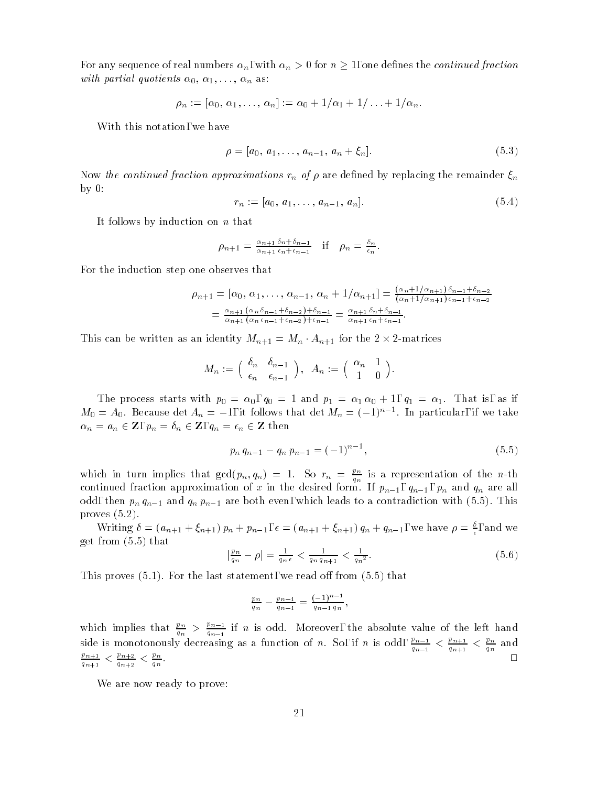For any sequence of real numbers  $\alpha_n$ , with  $\alpha_n > 0$  for  $n \geq 1$ , one defines the *continued fraction* with partial quotients  $\alpha_0, \alpha_1, \ldots, \alpha_n$  as:

$$
\rho_n := [\alpha_0, \alpha_1, \ldots, \alpha_n] := \alpha_0 + 1/\alpha_1 + 1/\ldots + 1/\alpha_n.
$$

With this notation, we have

$$
\rho = [a_0, a_1, \dots, a_{n-1}, a_n + \xi_n]. \tag{5.3}
$$

Now the continued fraction approximations  $r_n$  of  $\rho$  are defined by replacing the remainder  $\xi_n$ by 0:

$$
r_n := [a_0, a_1, \dots, a_{n-1}, a_n]. \tag{5.4}
$$

It follows by induction on n that

$$
\rho_{n+1} = \frac{\alpha_{n+1} \delta_n + \delta_{n-1}}{\alpha_{n+1} \epsilon_n + \epsilon_{n-1}} \quad \text{if} \quad \rho_n = \frac{\delta_n}{\epsilon_n}.
$$

For the induction step one observes that

$$
\rho_{n+1} = [\alpha_0, \alpha_1, \dots, \alpha_{n-1}, \alpha_n + 1/\alpha_{n+1}] = \frac{(\alpha_n + 1/\alpha_{n+1})\delta_{n-1} + \delta_{n-2}}{(\alpha_n + 1/\alpha_{n+1})\epsilon_{n-1} + \epsilon_{n-2}}
$$
  
=  $\frac{\alpha_{n+1} (\alpha_n \delta_{n-1} + \delta_{n-2}) + \delta_{n-1}}{\alpha_{n+1} (\alpha_n \epsilon_{n-1} + \epsilon_{n-2}) + \epsilon_{n-1}} = \frac{\alpha_{n+1} \delta_n + \delta_{n-1}}{\alpha_{n+1} \epsilon_n + \epsilon_{n-1}}.$ 

This can be written as an identity  $M_{n+1} = M_n \cdot A_{n+1}$  for the 2  $\times$  2-matrices

$$
M_n := \left( \begin{array}{cc} \delta_n & \delta_{n-1} \\ \epsilon_n & \epsilon_{n-1} \end{array} \right), \ \ A_n := \left( \begin{array}{cc} \alpha_n & 1 \\ 1 & 0 \end{array} \right).
$$

The process starts with policies with policies with policies  $\mathbb{R}^n$  and planets  $\mathbb{R}^n$  and  $\mathbb{R}^n$  $m_0 = A_0$ . Because det  $A_n = -1$ , it follows that det  $m_n = (-1)^n$  . In particular, if we take  $\alpha_n = a_n \in {\bf Z}, \, p_n = \delta_n \in {\bf Z}, \, q_n = \epsilon_n \in {\bf Z}$  then

$$
p_n q_{n-1} - q_n p_{n-1} = (-1)^{n-1}, \tag{5.5}
$$

which in turn implies that  $\gcd(p_n,q_n) = 1$ . So  $r_n = \frac{p_n}{q_n}$  is a representation of the n-th continued fraction approximation approximation of  $\mu$  in the desired form. If  $\mu=1$  ,  $\mu$  and  $\mu$  are all  $\mu$ odd, then  $p_n q_{n-1}$  and  $q_n p_{n-1}$  are both even, which leads to a contradiction with (5.5). This proves (5.2).

writing  $o = (a_{n+1} + \xi_{n+1}) p_n + p_{n-1}, \epsilon = (a_{n+1} + \xi_{n+1}) q_n + q_{n-1}$ , we have  $\rho = \frac{\epsilon}{\epsilon}$ , and we get from (5.5) that

$$
\left|\frac{p_n}{q_n} - \rho\right| = \frac{1}{q_n \epsilon} < \frac{1}{q_n q_{n+1}} < \frac{1}{q_n^2}.\tag{5.6}
$$

This proves  $(5.1)$ . For the last statement, we read off from  $(5.5)$  that

$$
\frac{p_n}{q_n} - \frac{p_{n-1}}{q_{n-1}} = \frac{(-1)^{n-1}}{q_{n-1} q_n},
$$

which implies that  $\frac{\mu_n}{q_n} > \frac{\mu_{n-1}}{q_{n-1}}$  if n is odd. Moreover, the absolute value of the left hand side is monotonously decreasing as a function of n. So, if n is odd,  $\frac{m-1}{q_{n-1}} < \frac{p_{n+1}}{q_{n+1}} < \frac{pm}{q_n}$  and p<sub>1</sub>  $\frac{p_{n+1}}{q_{n+1}} \leq \frac{p_{n+2}}{q_{n+2}} \leq \frac{p_n}{q_n}.$ 

We are now ready to prove: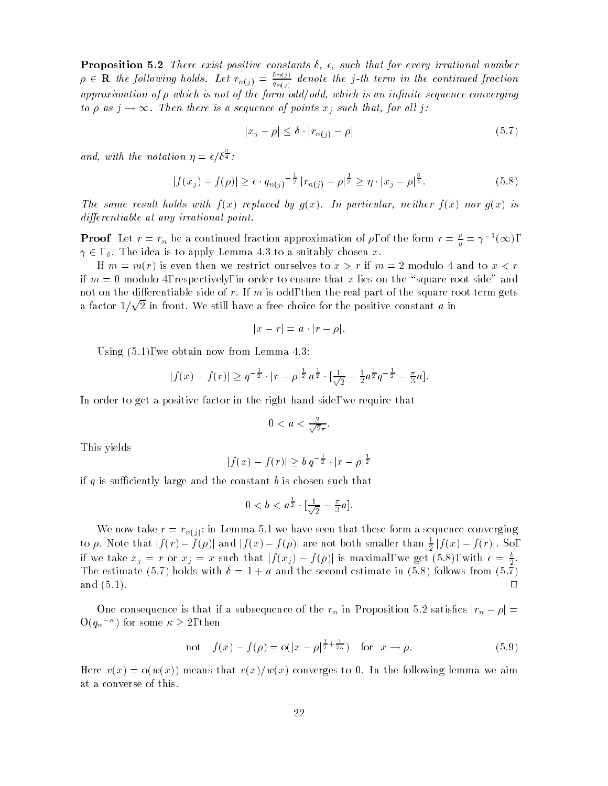**Proposition 5.2** There exist positive constants  $\delta$ ,  $\epsilon$ , such that for every irrational number  $\rho \in \mathbf{R}$  the following holds. Let  $r_{n(j)} = \frac{r_{n(j)}}{q_{n(j)}}$  or  $q_{n(i)}$  denote the j-th term in the continued fraction  $\mathcal{I}$ approximation of  $\rho$  which is not of the form odd/odd, which is an infinite sequence converging to  $\rho$  as  $j \to \infty$ . Then there is a sequence of points  $x_j$  such that, for all j:

$$
|x_j - \rho| \le \delta \cdot |r_{n(j)} - \rho| \tag{5.7}
$$

and, with the notation  $\eta = \epsilon/\delta^{\frac{1}{4}}$ :

$$
|f(x_j) - f(\rho)| \ge \epsilon \cdot q_{n(j)}^{-\frac{1}{2}} |r_{n(j)} - \rho|^{\frac{1}{2}} \ge \eta \cdot |x_j - \rho|^{\frac{3}{4}}.
$$
 (5.8)

The same result holds with  $f(x)$  replaced by  $g(x)$ . In particular, neither  $f(x)$  nor  $g(x)$  is differentiable at any irrational point.

**Proof** Let  $r = r_n$  be a continued fraction approximation of  $\rho$ , of the form  $r = \frac{r}{q} = \gamma^{-1}(\infty)$ ,  $\gamma \in A$ . The idea is to apply Lemma 4.3 to a suitably chosen x.

If  $m = m(r)$  is even then we restrict ourselves to  $x > r$  if  $m = 2$  modulo 4 and to  $x < r$ if  $m = 0$  modulo 4, respectively, in order to ensure that x lies on the "square root side" and not on the differentiable side of r. If m is odd, then the real part of the square root term gets a factor  $1/\sqrt{2}$  in front. We still have a free choice for the positive constant  $a$  in

$$
|x-r|=a\cdot |r-\rho|.
$$

Using (5.1), we obtain now from Lemma 4.3:

$$
|f(x) - f(r)| \geq q^{-\frac{1}{2}} \cdot |r - \rho|^{\frac{1}{2}} a^{\frac{1}{2}} \cdot [\frac{1}{\sqrt{2}} - \frac{1}{2} a^{\frac{1}{2}} q^{-\frac{1}{2}} - \frac{\pi}{3} a].
$$

In order to get a positive factor in the right hand side, we require that

$$
0 < a < \frac{3}{\sqrt{2}\pi}.
$$

This yields

$$
|f(x) - f(r)| \ge b q^{-\frac{1}{2}} \cdot |r - \rho|^{\frac{1}{2}}
$$

if q is sufficiently large and the constant b is chosen such that

$$
0 < b < a^{\frac{1}{2}} \cdot \left[ \frac{1}{\sqrt{2}} - \frac{\pi}{3} a \right].
$$

We now take  $r = r_{n(j)}$ ; in Lemma 5.1 we have seen that these form a sequence converging to  $\rho$ . Note that  $|f(r) - f(\rho)|$  and  $|f(x) - f(\rho)|$  are not both smaller than  $\frac{1}{2}|f(x) - f(r)|$ . So, if we take  $x_j = r$  or  $x_j = x$  such that  $|f(x_j) - f(\rho)|$  is maximal, we get (5.8), with  $\epsilon = \frac{b}{2}$ . The estimate (5.7) holds with  $\delta = 1 + a$  and the second estimate in (5.8) follows from (5.7) and  $(5.1)$ .  $\Box$ 

One consequence is that if a subsequence of the  $r_n$  in Proposition 5.2 satisfies  $|r_n - \rho|$  =  $O(q_n^{-\kappa})$  for some  $\kappa \geq 2$ , then

not 
$$
f(x) - f(\rho) = o(|x - \rho|^{\frac{1}{2} + \frac{1}{2\kappa}})
$$
 for  $x \to \rho$ . (5.9)

Here  $v(x) = o(w(x))$  means that  $v(x)/w(x)$  converges to 0. In the following lemma we aim at a converse of this.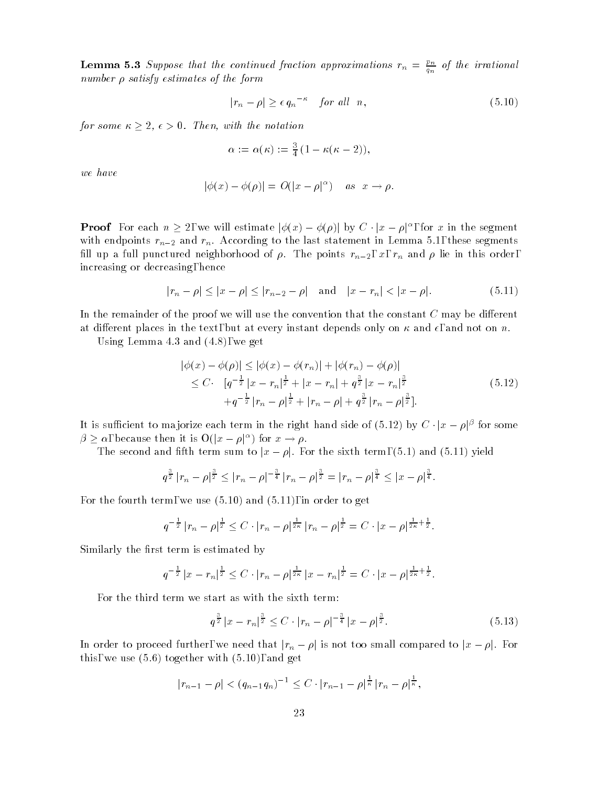**Lemma 5.3** Suppose that the continued fraction approximations  $r_n = \frac{c_n}{q_n}$  of the irrational number  $\rho$  satisfy estimates of the form

$$
|r_n - \rho| \ge \epsilon q_n^{-\kappa} \quad \text{for all} \quad n,\tag{5.10}
$$

for some  $\kappa \geq 2$ ,  $\epsilon > 0$ . Then, with the notation

$$
\alpha := \alpha(\kappa) := \frac{3}{4} \left( 1 - \kappa(\kappa - 2) \right),
$$

we have

$$
|\phi(x) - \phi(\rho)| = O(|x - \rho|^{\alpha}) \quad \text{as} \quad x \to \rho.
$$

**Proof** For each  $n \geq 2$ , we will estimate  $|\phi(x) - \phi(\rho)|$  by  $C \cdot |x - \rho|^{\alpha}$ , for x in the segment with endpoints  $r_{n-2}$  and  $r_n$ . According to the last statement in Lemma 5.1, these segments fill up a full punctured neighborhood of  $\rho$ . The points  $r_{n-2}$ , x,  $r_n$  and  $\rho$  lie in this order, increasing or decreasing, hence

$$
|r_n - \rho| \le |x - \rho| \le |r_{n-2} - \rho| \quad \text{and} \quad |x - r_n| < |x - \rho|. \tag{5.11}
$$

In the remainder of the proof we will use the convention that the constant  $C$  may be different at different places in the text, but at every instant depends only on  $\kappa$  and  $\epsilon$ , and not on n.

Using Lemma 4.3 and (4.8), we get

$$
|\phi(x) - \phi(\rho)| \le |\phi(x) - \phi(r_n)| + |\phi(r_n) - \phi(\rho)|
$$
  
\n
$$
\le C \cdot [q^{-\frac{1}{2}} |x - r_n|^{\frac{1}{2}} + |x - r_n| + q^{\frac{3}{2}} |x - r_n|^{\frac{3}{2}}
$$
  
\n
$$
+ q^{-\frac{1}{2}} |r_n - \rho|^{\frac{1}{2}} + |r_n - \rho| + q^{\frac{3}{2}} |r_n - \rho|^{\frac{3}{2}}].
$$
\n(5.12)

It is sufficient to majorize each term in the right hand side of (5.12) by  $C \cdot |x - \rho|^{\beta}$  for some  $\beta \geq \alpha$ , because then it is  $O(|x - \rho|^{\alpha})$  for  $x \to \rho$ .

The second and fifth term sum to  $|x - \rho|$ . For the sixth term, (5.1) and (5.11) yield

$$
q^{\frac{3}{2}}|r_n-\rho|^{\frac{3}{2}} \leq |r_n-\rho|^{-\frac{3}{4}}|r_n-\rho|^{\frac{3}{2}} = |r_n-\rho|^{\frac{3}{4}} \leq |x-\rho|^{\frac{3}{4}}.
$$

For the fourth term, we use (5.10) and (5.11), in order to get

$$
q^{-\frac{1}{2}}|r_n - \rho|^{\frac{1}{2}} \leq C \cdot |r_n - \rho|^{\frac{1}{2\kappa}}|r_n - \rho|^{\frac{1}{2}} = C \cdot |x - \rho|^{\frac{1}{2\kappa} + \frac{1}{2}}.
$$

Similarly the first term is estimated by

$$
q^{-\frac{1}{2}}|x-r_n|^{\frac{1}{2}} \leq C \cdot |r_n-\rho|^{\frac{1}{2\kappa}}|x-r_n|^{\frac{1}{2}} = C \cdot |x-\rho|^{\frac{1}{2\kappa}+\frac{1}{2}}.
$$

For the third term we start as with the sixth term:

$$
q^{\frac{3}{2}}|x - r_n|^{\frac{3}{2}} \le C \cdot |r_n - \rho|^{-\frac{3}{4}}|x - \rho|^{\frac{3}{2}}.
$$
 (5.13)

In order to proceed further, we need that  $|r_n - \rho|$  is not too small compared to  $|x - \rho|$ . For this, we use  $(5.6)$  together with  $(5.10)$ , and get

$$
|r_{n-1} - \rho| < (q_{n-1}q_n)^{-1} \leq C \cdot |r_{n-1} - \rho|^{\frac{1}{\kappa}} |r_n - \rho|^{\frac{1}{\kappa}},
$$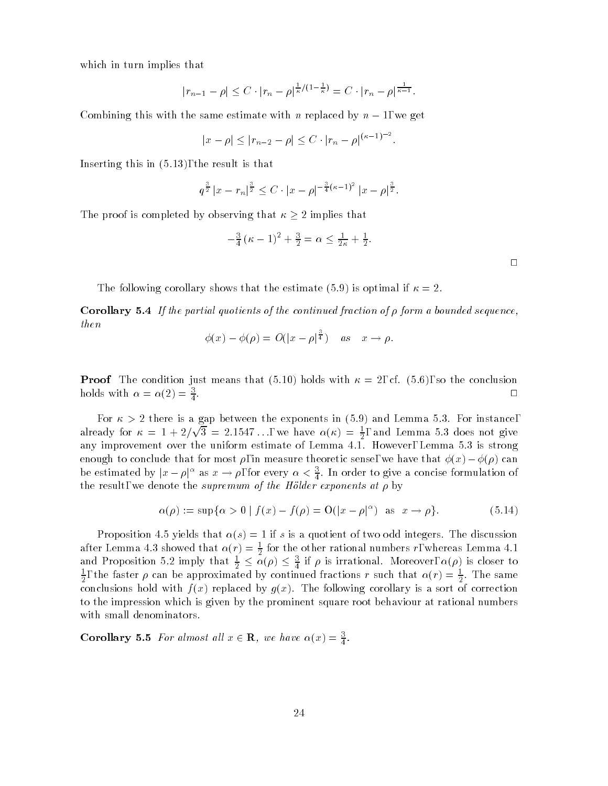which in turn implies that

$$
|r_{n-1} - \rho| \leq C \cdot |r_n - \rho|^{\frac{1}{\kappa}/(1-\frac{1}{\kappa})} = C \cdot |r_n - \rho|^{\frac{1}{\kappa-1}}.
$$

Combining this with the same estimate with n replaced by  $n-1$ , we get

$$
|x - \rho| \le |r_{n-2} - \rho| \le C \cdot |r_n - \rho|^{(\kappa - 1)^{-2}}.
$$

Inserting this in (5.13), the result is that

 $\overline{\phantom{a}}$ 

$$
q^{\frac{3}{2}}|x-r_n|^{\frac{3}{2}} \leq C \cdot |x-\rho|^{-\frac{3}{4}(\kappa-1)^2}|x-\rho|^{\frac{3}{2}}.
$$

The proof is completed by observing that  $\kappa \geq 2$  implies that

$$
-\frac{3}{4}(\kappa - 1)^2 + \frac{3}{2} = \alpha \le \frac{1}{2\kappa} + \frac{1}{2}.
$$

The following corollary shows that the estimate (5.9) is optimal if  $\kappa = 2$ .

**Corollary 5.4** If the partial quotients of the continued fraction of  $\rho$  form a bounded sequence, then

$$
\phi(x) - \phi(\rho) = O(|x - \rho|^{\frac{3}{4}}) \quad as \quad x \to \rho.
$$

**Proof** The condition just means that  $(5.10)$  holds with  $\kappa = 2$ , cf.  $(5.6)$ , so the conclusion holds with  $\alpha = \alpha(2) = \frac{3}{4}$ .

For  $\kappa > 2$  there is a gap between the exponents in (5.9) and Lemma 5.3. For instance, already for  $\kappa = 1 + 2/\sqrt{3} = 2.1547...$ , we have  $\alpha(\kappa) = \frac{1}{2}$ , and Lemma 5.3 does not give any improvement over the uniform estimate of Lemma 4.1. However, Lemma 5.1. However, Lemma 5.3 is strong enough to conclude that for most  $\rho$ , in measure theoretic sense, we have that  $\phi(x) - \phi(\rho)$  can be estimated by  $|x - \rho|^{\alpha}$  as  $x \to \rho$ , for every  $\alpha < \frac{3}{4}$ . In order to give a concise formulation of the result, we denote the supremum of the Holder exponents at by

$$
\alpha(\rho) := \sup \{ \alpha > 0 \mid f(x) - f(\rho) = O(|x - \rho|^{\alpha}) \quad \text{as} \quad x \to \rho \}. \tag{5.14}
$$

Proposition 4.5 yields that  $\alpha(s) = 1$  if s is a quotient of two odd integers. The discussion after Lemma 4.3 showed that  $\alpha(r) = \frac{1}{2}$  for the other rational numbers r, whereas Lemma 4.1 2 for the other rational numbers r, whereas Lemma 4.1 and Proposition 5.2 imply that  $\frac{1}{2} \leq \alpha(\rho) \leq \frac{3}{4}$  if  $\rho$  is irrational. Moreover,  $\alpha(\rho)$  is closer to  $\frac{1}{2},$  the faster  $\rho$  can be approximated by continued fractions  $r$  such that  $\alpha(r)=\frac{1}{2}.$  The same conclusions hold with  $f(x)$  replaced by  $g(x)$ . The following corollary is a sort of correction to the impression which is given by the prominent square root behaviour at rational numbers with small denominators.

Corollary 5.5 For almost all  $x \in \mathbf{R}$ , we have  $\alpha(x) = \frac{3}{4}$ .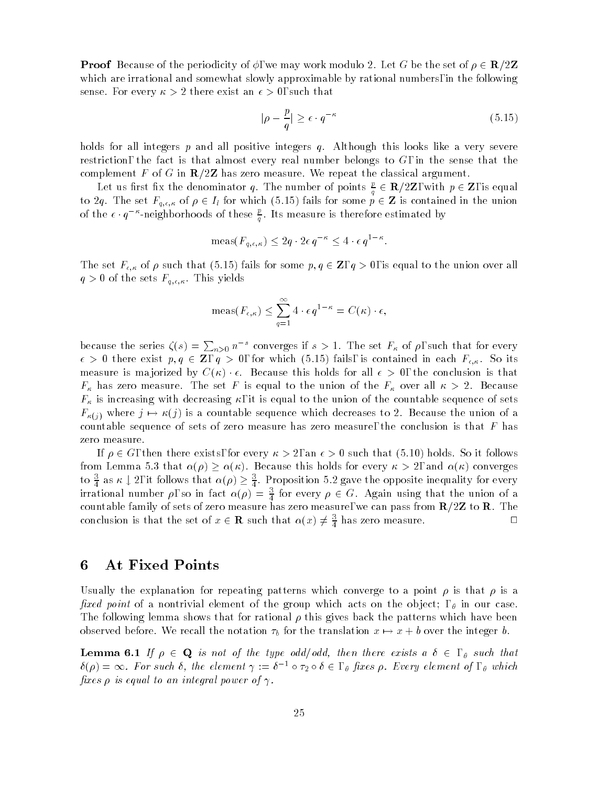**Proof** Because of the periodicity of  $\phi$ , we may work modulo 2. Let G be the set of  $\rho \in \mathbb{R}/2\mathbb{Z}$ which are irrational and somewhat slowly approximable by rational numbers, in the following sense. For every  $\kappa > 2$  there exist an  $\epsilon > 0$ , such that

$$
|\rho - \frac{p}{q}| \ge \epsilon \cdot q^{-\kappa} \tag{5.15}
$$

holds for all integers  $p$  and all positive integers  $q$ . Although this looks like a very severe restriction, the fact is that almost every real number belongs to  $G$ , in the sense that the complement F of G in  $\mathbb{R}/2\mathbb{Z}$  has zero measure. We repeat the classical argument.

Let us first fix the denominator q. The number of points  $\frac{p}{q} \in \mathbf{R}/2\mathbf{Z}$ , with  $p \in \mathbf{Z}$ , is equal to 2q. The set  $F_{q,\epsilon,\kappa}$  of  $\rho \in I_l$  for which (5.15) fails for some  $p \in \mathbf{Z}$  is contained in the union of the  $\epsilon$   $\cdot$   $q$   $^{\prime\prime}$ -neighborhoods of these  $\frac{a}{q}$ . Its measure is therefore estimated by

$$
\operatorname{meas}(F_{q,\epsilon,\kappa}) \le 2q \cdot 2\epsilon \, q^{-\kappa} \le 4 \cdot \epsilon \, q^{1-\kappa}.
$$

The set  $F_{\epsilon,\kappa}$  of  $\rho$  such that  $(5.15)$  fails for some  $p,q\in{\bf Z},\,q>0,$  is equal to the union over all  $q > 0$  of the sets  $F_{q,\epsilon,\kappa}$ . This yields

$$
\operatorname{meas}(F_{\epsilon,\kappa}) \le \sum_{q=1}^{\infty} 4 \cdot \epsilon q^{1-\kappa} = C(\kappa) \cdot \epsilon,
$$

because the series  $\zeta(s) = \sum_{n>0} n^{-s}$  converges if  $s > 1$ . The set  $F_{\kappa}$  of  $\rho$ , such that for every  $\epsilon > 0$  there exist  $p, q \in \mathbb{Z}$ ,  $q > 0$ , for which (5.15) fails, is contained in each  $F_{\epsilon,\kappa}$ . So its measure is majorized by  $C(\kappa) \cdot \epsilon$ . Because this holds for all  $\epsilon > 0$ , the conclusion is that  $F_\kappa$  has zero measure. The set  $F$  is equal to the union of the  $F_\kappa$  over all  $\kappa\,>\,2.$  Because  $F_{\kappa}$  is increasing with decreasing  $\kappa$ , it is equal to the union of the countable sequence of sets  $F_{\kappa(j)}$  where  $j \mapsto \kappa(j)$  is a countable sequence which decreases to 2. Because the union of a countable sequence of sets of zero measure has zero measure, the conclusion is that  $F$  has zero measure.

If  $\rho \in G$ , then there exists, for every  $\kappa > 2$ , an  $\epsilon > 0$  such that (5.10) holds. So it follows from Lemma 5.3 that  $\alpha(\rho) \ge \alpha(\kappa)$ . Because this holds for every  $\kappa > 2$ , and  $\alpha(\kappa)$  converges to  $\frac{3}{4}$  as  $\kappa \downarrow 2$ , it follows that  $\alpha(\rho) \geq \frac{3}{4}$ . Proposition 5.2 gave the opposite inequality for every irrational number  $\rho$ , so in fact  $\alpha(\rho) = \frac{3}{4}$  for every  $\rho \in G$ . Again using that the union of a **449 • 1999 • 1999 • 1999 • 1999 • 1999 • 1999 • 1999 • 1999 • 1999 • 1999 • 1999 • 1999 • 1999 • 1999 • 1999 • 1999 • 1999 • 1999 • 1999 • 1999 • 1999 • 1999 • 1999 • 1999 • 1999 • 1999 • 1999 • 1999 • 1999 • 1999 • 1999** countable family of sets of zero measure has zero measure, we can pass from R=2Z to R. The conclusion is that the set of  $x \in \mathbf{R}$  such that  $\alpha(x) \neq \frac{3}{4}$  has zero measure.

#### 6 At Fixed Points

Usually the explanation for repeating patterns which converge to a point  $\rho$  is that  $\rho$  is a fixed point of a nontrivial element of the group which acts on the object;  $\theta$ , in our case. The following lemma shows that for rational  $\rho$  this gives back the patterns which have been observed before. We recall the notation  $\tau_b$  for the translation  $x \mapsto x + b$  over the integer b.

**Lemma 6.1** If  $\rho \in \mathbf{Q}$  is not of the type odd/odd, then there exists a  $\delta \in \rho$ , such that  $\delta(\rho) = \infty$ . For such  $\delta$ , the element  $\gamma := \delta^{-1} \circ \tau_2 \circ \delta \in$  ,  $_\theta$  fixes  $\rho$ . Every element of ,  $_\theta$  which fixes  $\rho$  is equal to an integral power of  $\gamma$ .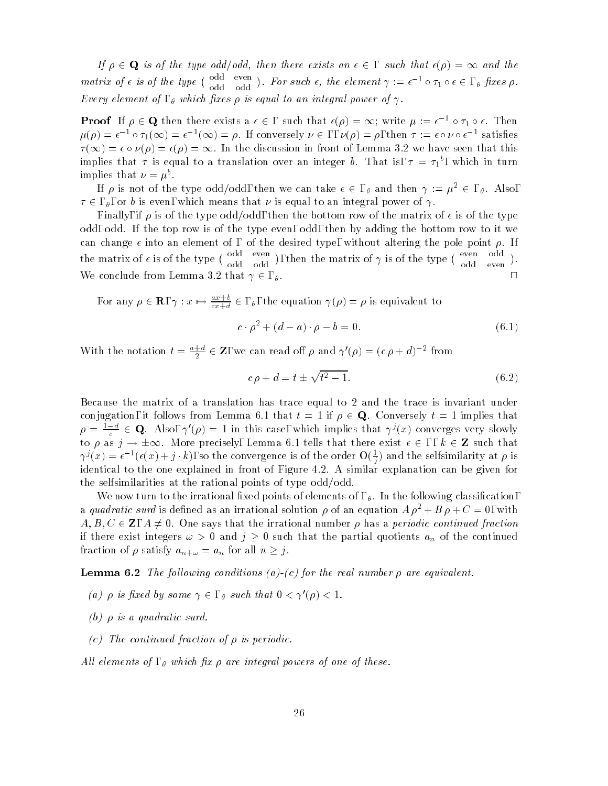If  $\rho \in \mathbf{Q}$  is of the type odd/odd, then there exists an  $\epsilon \in \epsilon$ , such that  $\epsilon(\rho) = \infty$  and the matrix of  $\epsilon$  is of the type  $\begin{pmatrix} 0 & \text{and} & \text{even} \\ 1 & 1 & 1 \end{pmatrix}$ . ). For such  $\epsilon$ , the element  $\gamma := \epsilon^{-1} \circ \tau_1 \circ \epsilon \in A$ , fixes  $\rho$ . Every element of,  $\theta$  which fixes  $\rho$  is equal to an integral power of  $\gamma$ .

**Proof** If  $\rho \in \mathbf{Q}$  then there exists a  $\epsilon \in$ , such that  $\epsilon(\rho) = \infty$ ; write  $\mu := \epsilon^{-1} \circ \tau_1 \circ \epsilon$ . Then  $\mu(\rho) = \epsilon^{-1} \circ \tau_1(\infty) = \epsilon^{-1}(\infty) = \rho$ . It conversely  $\nu \in , \nu(\rho) = \rho$ , then  $\tau := \epsilon \circ \nu \circ \epsilon^{-1}$  satisfies  $\tau(\infty) = \epsilon \circ \nu(\rho) = \epsilon(\rho) = \infty$ . In the discussion in front of Lemma 3.2 we have seen that this implies that  $\tau$  is equal to a translation over an integer  $b$ . That is,  $\tau \, = \, \tau_1$  , which in turn implies that  $\nu = \mu$ .

If  $\rho$  is not of the type odd/odd, then we can take  $\epsilon \in A$ ,  $\theta$  and then  $\gamma := \mu^2 \in A$ . Also,  $\tau \in A$ , or b is even, which means that  $\nu$  is equal to an integral power of  $\gamma$ .

Finally, if  $\rho$  is of the type odd/odd, then the bottom row of the matrix of  $\epsilon$  is of the type odd, odd. If the top row is of the type even, odd, then by adding the bottom row to it we can change  $\epsilon$  into an element of, of the desired type, without altering the pole point  $\rho$ . If the matrix of  $\epsilon$  is of the type  $\begin{pmatrix} 0 & 0 \\ 0 & 1 \end{pmatrix}$ ), then the matrix of  $\gamma$  is of the type ( $\frac{\text{even}}{\gamma}$  odd).  $\mathcal{L}$ We conclude from Lemma 3.2 that  $\gamma \in \Omega$ ,  $\theta$ .

For any  $\rho \in \mathbf{R}$ ,  $\gamma: x \mapsto \frac{a x + b}{cx + d} \in$ ,  $\theta$ , the equation  $\gamma(\rho) = \rho$  is equivalent to

$$
c \cdot \rho^2 + (d - a) \cdot \rho - b = 0. \tag{6.1}
$$

With the notation  $t = \frac{a+1}{2} \in \mathbb{Z}$ , we can read off  $\rho$  and  $\gamma'(\rho) = (c \rho + d)^{-2}$  from

$$
c \rho + d = t \pm \sqrt{t^2 - 1}.\tag{6.2}
$$

Because the matrix of a translation has trace equal to 2 and the trace is invariant under conjugation, it follows from Lemma 6.1 that  $t = 1$  if  $\rho \in \mathbf{Q}$ . Conversely  $t = 1$  implies that  $\rho = \frac{1-\alpha}{c} \in \mathbf{Q}$ . Also,  $\gamma'(\rho) = 1$  in this case, which implies that  $\gamma'(x)$  converges very slowly to  $\rho$  as  $j \to \pm \infty$ . More precisely, Lemma 6.1 tells that there exist  $\epsilon \in \epsilon$ ,  $k \in \mathbb{Z}$  such that  $\gamma'(x) = \epsilon^{-1}(\epsilon(x) + j \cdot k),$  so the convergence is of the order  $O(\frac{1}{7})$  and the selfsimilarity at  $\rho$  is identical to the one explained in front of Figure 4.2. A similar explanation can be given for the selfsimilarities at the rational points of type  $odd/odd$ .

We now turn to the irrational fixed points of elements of ,  $\theta$ . In the following classification, a quadratic surd is defined as an irrational solution  $\rho$  of an equation  $A \rho^2 + B \rho + C = 0$ , with  $A, B, C \in \mathbb{Z}, A \neq 0$ . One says that the irrational number  $\rho$  has a periodic continued fraction if there exist integers  $\omega > 0$  and  $j \geq 0$  such that the partial quotients  $a_n$  of the continued fraction of  $\rho$  satisfy  $a_{n+\omega} = a_n$  for all  $n \geq j$ .

**Lemma 6.2** The following conditions (a)-(c) for the real number  $\rho$  are equivalent.

- (a)  $\rho$  is fixed by some  $\gamma \in \rho$ , such that  $0 < \gamma'(\rho) < 1$ .
- (b)  $\rho$  is a quadratic surd.
- (c) The continued fraction of  $\rho$  is periodic.

All elements of,  $\theta$  which fix  $\rho$  are integral powers of one of these.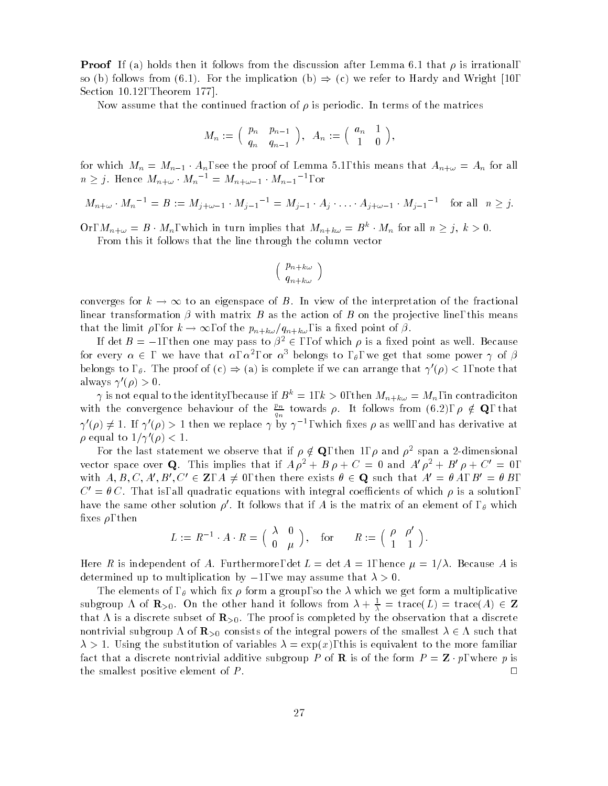**Proof** If (a) holds then it follows from the discussion after Lemma 6.1 that  $\rho$  is irrational, so (b) follows from (6.1). For the implication (b)  $\Rightarrow$  (c) we refer to Hardy and Wright [10, Section 10.12, Theorem 177].

Now assume that the continued fraction of  $\rho$  is periodic. In terms of the matrices

$$
M_n:=\Big(\begin{array}{cc}p_n&p_{n-1}\\q_n&q_{n-1}\end{array}\Big),\ \ A_n:=\Big(\begin{array}{cc}a_n&1\\1&0\end{array}\Big),
$$

for which  $M_n = M_{n-1} \cdot A_n$ , see the proof of Lemma 5.1, this means that  $A_{n+\omega} = A_n$  for all  $n \geq j$ . Hence  $M_{n+\omega} \cdot M_n^{-1} = M_{n+\omega-1} \cdot M_{n-1}^{-1}$ , or

$$
M_{n+\omega} \cdot M_n^{-1} = B := M_{j+\omega-1} \cdot M_{j-1}^{-1} = M_{j-1} \cdot A_j \cdot \ldots \cdot A_{j+\omega-1} \cdot M_{j-1}^{-1} \quad \text{for all} \ \ n \geq j.
$$

Or,  $M_{n+\omega} = B \cdot M_n$ , which in turn implies that  $M_{n+k\omega} = B^k \cdot M_n$  for all  $n \geq j$ ,  $k > 0$ . From this it follows that the line through the column vector

$$
\left(\begin{array}{c}p_{n+k\omega}\\q_{n+k\omega}\end{array}\right)
$$

converges for  $k \to \infty$  to an eigenspace of B. In view of the interpretation of the fractional linear transformation  $\beta$  with matrix  $B$  as the action of  $B$  on the projective line, this means that the limit  $\rho$ , for  $k \to \infty$ , of the  $p_{n+k\omega}/q_{n+k\omega}$ , is a fixed point of  $\beta$ .

If det  $B = -1$ , then one may pass to  $\beta^2 \in \beta$ , of which  $\rho$  is a fixed point as well. Because for every  $\alpha \in$  , we have that  $\alpha, \, \alpha^2,$  or  $\alpha^{\circ}$  belongs to ,  $_\theta$ , we get that some power  $\gamma$  of  $\beta$ belongs to,  $\theta$ . The proof of (c)  $\Rightarrow$  (a) is complete if we can arrange that  $\gamma'(\rho)$  < 1, note that always  $\gamma'(\rho) > 0$ .

 $\gamma$  is not equal to the identity, because if  $B^k = 1, k > 0$ , then  $M_{n+k\omega} = M_n$ , in contradiciton with the convergence behaviour of the  $\frac{\nu_n}{q_n}$  towards  $\rho$ . It follows from (6.2),  $\rho \notin \mathbf{Q}$ , that  $\gamma'(\rho) \neq 1$ . If  $\gamma'(\rho) > 1$  then we replace  $\gamma$  by  $\gamma^{-1}$ , which fixes  $\rho$  as well, and has derivative at  $\rho$  equal to  $1/\gamma'(\rho) < 1$ .

For the last statement we observe that if  $\rho \notin \mathbf{Q}$ , then 1,  $\rho$  and  $\rho^2$  span a 2-dimensional vector space over **Q**. This implies that if  $A \rho^2 + B \rho + C = 0$  and  $A' \rho^2 + B' \rho + C' = 0$ , with  $A, B, C, A', B', C' \in \mathbb{Z}, A \neq 0$ , then there exists  $\theta \in \mathbb{Q}$  such that  $A' = \theta A, B' = \theta B$ ,  $C' = \theta C$ . That is, all quadratic equations with integral coefficients of which  $\rho$  is a solution, have the same other solution  $\rho'$ . It follows that if A is the matrix of an element of ,  $\theta$  which fixes  $\rho$ , then

$$
L := R^{-1} \cdot A \cdot R = \begin{pmatrix} \lambda & 0 \\ 0 & \mu \end{pmatrix}, \quad \text{for} \qquad R := \begin{pmatrix} \rho & \rho' \\ 1 & 1 \end{pmatrix}.
$$

Here R is independent of A. Furthermore,  $\det L = \det A = 1$ , hence  $\mu = 1/\lambda$ . Because A is determined up to multiplication by  $-1$ , we may assume that  $\lambda > 0$ .

The elements of,  $\theta$  which fix  $\rho$  form a group, so the  $\lambda$  which we get form a multiplicative subgroup  $\Lambda$  of  $\mathbf{R}_{>0}$ . On the other hand it follows from  $\lambda + \frac{1}{\lambda} = \text{trace}(L) = \text{trace}(A) \in \mathbf{Z}$ that A is a discrete subset of  $\mathbb{R}_{>0}$ . The proof is completed by the observation that a discrete nontrivial subgroup  $\Lambda$  of  $\mathbb{R}_{>0}$  consists of the integral powers of the smallest  $\lambda \in \Lambda$  such that  $\lambda > 1$ . Using the substitution of variables  $\lambda = \exp(x)$ , this is equivalent to the more familiar fact that a discrete nontrivial additive subgroup P of **R** is of the form  $P = \mathbf{Z} \cdot p$ , where p is  $\Box$ the smallest positive element of  $P$ .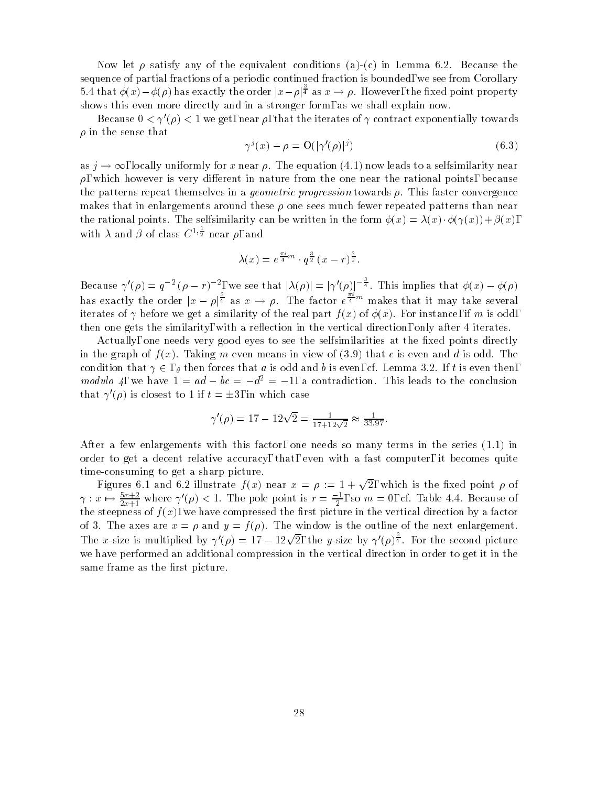Now let  $\rho$  satisfy any of the equivalent conditions (a)-(c) in Lemma 6.2. Because the sequence of partial fractions of a periodic continued fraction is bounded, we see from Corollary 5.4 that  $\phi(x)-\phi(\rho)$  has exactly the order  $|x-\rho|^{\frac{1}{4}}$  as  $x\to\rho$ . However, the fixed point property shows this even more directly and in a stronger form, as we shall explain now.

Because  $0 < \gamma'(\rho) < 1$  we get, near  $\rho$ , that the iterates of  $\gamma$  contract exponentially towards  $\rho$  in the sense that

$$
\gamma^{j}(x) - \rho = \mathcal{O}(|\gamma'(\rho)|^{j}) \tag{6.3}
$$

as  $j \to \infty$ , locally uniformly for x near  $\rho$ . The equation (4.1) now leads to a selfsimilarity near  $\rho$ , which however is very different in nature from the one near the rational points, because the patterns repeat themselves in a *geometric progression* towards  $\rho$ . This faster convergence makes that in enlargements around these  $\rho$  one sees much fewer repeated patterns than near the rational points. The selfsimilarity can be written in the form  $\phi(x) = \lambda(x) \cdot \phi(\gamma(x)) + \beta(x)$ . with  $\lambda$  and  $\beta$  of class  $C^{1,\frac{1}{2}}$  near  $\rho$ , and

$$
\lambda(x) = e^{\frac{\pi i}{4}m} \cdot q^{\frac{3}{2}} (x - r)^{\frac{3}{2}}.
$$

Because  $\gamma'(\rho) = q^{-2} (\rho - r)^{-2}$ , we see that  $|\lambda(\rho)| = |\gamma'(\rho)|^{-\frac{1}{4}}$ . This implies that  $\phi(x) - \phi(\rho)$ has exactly the order  $|x - \rho|^{\frac{1}{4}}$  as  $x \to \rho$ . The factor  $e^{\frac{m}{4}m}$  makes that it may take several iterates of  $\gamma$  before we get a similarity of the real part  $f(x)$  of  $\phi(x)$ . For instance, if m is odd, then one gets the similarity, with a reflection in the vertical direction, only after 4 iterates.

Actually, one needs very good eyes to see the selfsimilarities at the fixed points directly in the graph of  $f(x)$ . Taking m even means in view of (3.9) that c is even and d is odd. The condition that  $\gamma \in$ ,  $\theta$  then forces that a is odd and b is even, cf. Lemma 3.2. If t is even then, modulo 4, we have  $1 = ad - bc = -d^2 = -1$ , a contradiction. This leads to the conclusion that  $\gamma'(\rho)$  is closest to 1 if  $t = \pm 3$ , in which case

$$
\gamma'(\rho) = 17 - 12\sqrt{2} = \frac{1}{17 + 12\sqrt{2}} \approx \frac{1}{33.97}.
$$

After a few enlargements with this factor, one needs so many terms in the series (1.1) in order to get a decent relative accuracy, that, even with a fast computer, it becomes quite time-consuming to get a sharp picture.

Figures 6.1 and 6.2 illustrate  $f(x)$  near  $x = \rho := 1 + \sqrt{2}$ , which is the fixed point  $\rho$  of  $\gamma: x \mapsto \frac{z-1}{2x+1}$  where  $\gamma(\rho) < 1$ . The pole point is  $r = \frac{1}{2}$ , so  $m = 0$ , cf. Table 4.4. Because of the steepness of f (x), we have computed the vertical direction by a factor  $\mathcal{A}$  factor by a factor by a factor by a factor by a factor by a factor by a factor by a factor by a factor by a factor by a factor by a fact of 3. The axes are  $x = \rho$  and  $y = f(\rho)$ . The window is the outline of the next enlargement. The x-size is multiplied by  $\gamma'(\rho) = 17 - 12\sqrt{2}$ , the y-size by  $\gamma'(\rho)^{\frac{3}{4}}$ . For the second picture we have performed an additional compression in the vertical direction in order to get it in the same frame as the first picture.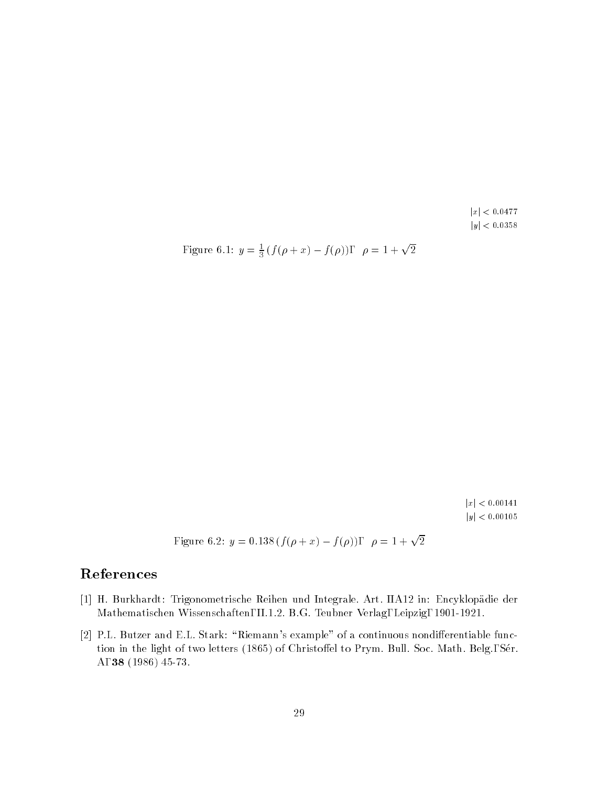$|x| < 0.0477$  $\left|y\right|$   $<$  0.0358

Figure 6.1: 
$$
y = \frac{1}{3}(f(\rho + x) - f(\rho)), \quad \rho = 1 + \sqrt{2}
$$

 $|x| < 0.00141$  $|y| < 0.00105$ 

Figure 6.2:  $y = 0.138 (f(\rho + x) - f(\rho)), \quad \rho = 1 + \sqrt{2}$ 

# References

- [1] H. Burkhardt: Trigonometrische Reihen und Integrale. Art. IIA12 in: Encyklopadie der Mathematischen Wissenschaften, II.1.2. B.G. Teubner Verlag, Leipzig, 1901-1921.
- [2] P.L. Butzer and E.L. Stark: "Riemann's example" of a continuous nondifferentiable function in the light of two letters (1865) of Christoffel to Prym. Bull. Soc. Math. Belg., Sér. A, <sup>38</sup> (1986) 45-73.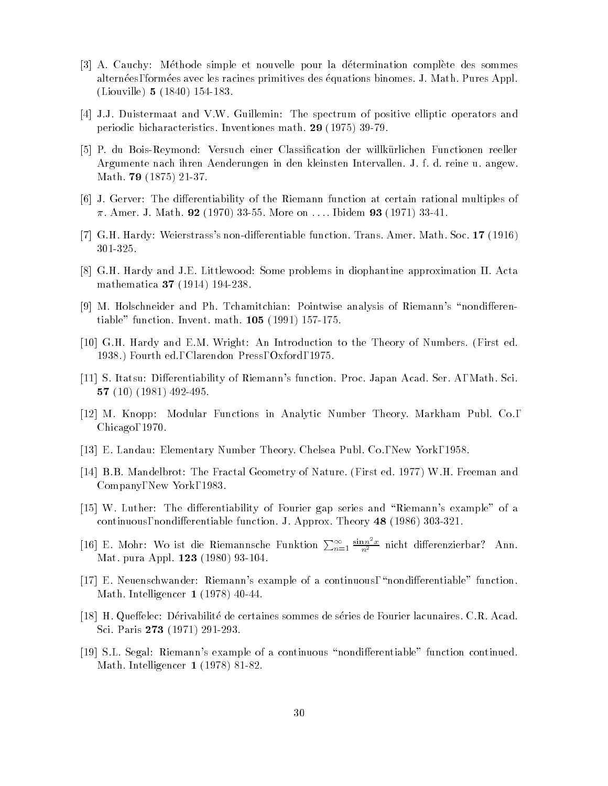- [3] A. Cauchy: Methode simple et nouvelle pour la determination complete des sommes alternées, formées avec les racines primitives des équations binomes. J. Math. Pures Appl. (Liouville) <sup>5</sup> (1840) 154-183.
- [4] J.J. Duistermaat and V.W. Guillemin: The spectrum of positive elliptic operators and periodic bicharacteristics. Inventiones math. <sup>29</sup> (1975) 39-79.
- [5] P. du Bois-Reymond: Versuch einer Classification der willkürlichen Functionen reeller Argumente nach ihren Aenderungen in den kleinsten Intervallen. J. f. d. reine u. angew. Math. <sup>79</sup> (1875) 21-37.
- [6] J. Gerver: The differentiability of the Riemann function at certain rational multiples of  $\pi$ . Amer. J. Math. 92 (1970) 33-55. More on .... Ibidem 93 (1971) 33-41.
- [7] G.H. Hardy: Weierstrass's non-differentiable function. Trans. Amer. Math. Soc. 17 (1916) 301-325.
- [8] G.H. Hardy and J.E. Littlewood: Some problems in diophantine approximation II. Acta mathematica <sup>37</sup> (1914) 194-238.
- [9] M. Holschneider and Ph. Tchamitchian: Pointwise analysis of Riemann's "nondifferentiable" function. Invent. math. <sup>105</sup> (1991) 157-175.
- [10] G.H. Hardy and E.M. Wright: An Introduction to the Theory of Numbers. (First ed. 1938.) Fourth ed., Clarendon Press, Oxford, 1975.
- [11] S. Itatsu: Differentiability of Riemann's function. Proc. Japan Acad. Ser. A, Math. Sci. <sup>57</sup> (10) (1981) 492-495.
- [12] M. Knopp: Modular Functions in Analytic Number Theory. Markham Publ. Co., Chicago, 1970.
- [13] E. Landau: Elementary Number Theory. Chelsea Publ. Co., New York, 1958.
- [14] B.B. Mandelbrot: The Fractal Geometry of Nature. (First ed. 1977) W.H. Freeman and Company, New York, 1983.
- [15] W. Luther: The differentiability of Fourier gap series and "Riemann's example" of a continuous, nondifferentiable function. J. Approx. Theory 48 (1986) 303-321.
- [16] E. Mohr: Wo ist die Riemannsche Funktion  $\sum_{n=1}^{\infty} \frac{\sin n \tau x}{n^2}$  nicht differenzierbar? Ann. Mat. pura Appl. <sup>123</sup> (1980) 93-104.
- $[17]$  E. Neuenschwander: Riemann's example of a continuous, "nondifferentiable" function. Math. Intelligencer <sup>1</sup> (1978) 40-44.
- [18] H. Queffelec: Dérivabilité de certaines sommes de séries de Fourier lacunaires. C.R. Acad. Sci. Paris <sup>273</sup> (1971) 291-293.
- [19] S.L. Segal: Riemann's example of a continuous "nondifferentiable" function continued. Math. Intelligencer <sup>1</sup> (1978) 81-82.